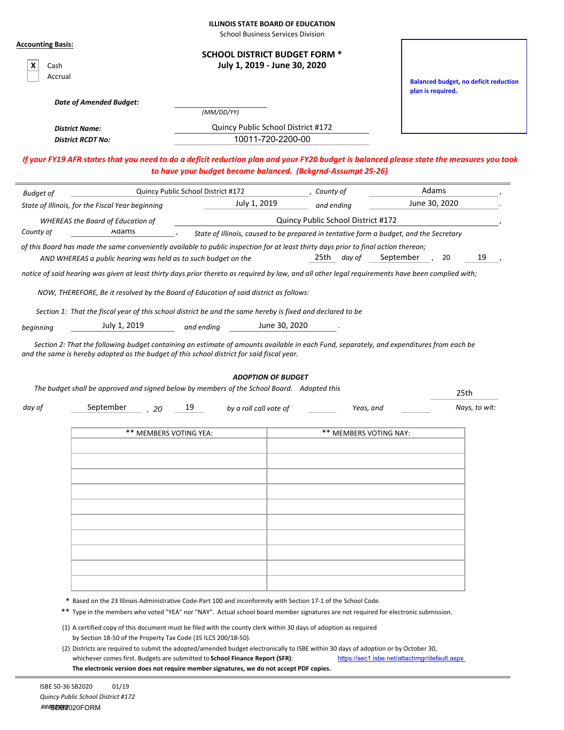| <b>ILLINOIS STATE BOARD OF EDUCATION</b> |  |  |
|------------------------------------------|--|--|
|------------------------------------------|--|--|

School Business Services Division

| Accrual                                                                                                                                                                                                                                               | <b>SCHOOL DISTRICT BUDGET FORM *</b><br>July 1, 2019 - June 30, 2020 |                                                                                        | <b>Balanced budget, no deficit reduction</b><br>plan is required. |
|-------------------------------------------------------------------------------------------------------------------------------------------------------------------------------------------------------------------------------------------------------|----------------------------------------------------------------------|----------------------------------------------------------------------------------------|-------------------------------------------------------------------|
| <b>Date of Amended Budget:</b>                                                                                                                                                                                                                        |                                                                      |                                                                                        |                                                                   |
|                                                                                                                                                                                                                                                       | (MM/DD/YY)                                                           |                                                                                        |                                                                   |
| <b>District Name:</b>                                                                                                                                                                                                                                 | Quincy Public School District #172                                   |                                                                                        |                                                                   |
| <b>District RCDT No:</b>                                                                                                                                                                                                                              | 10011-720-2200-00                                                    |                                                                                        |                                                                   |
| If your FY19 AFR states that you need to do a deficit reduction plan and your FY20 budget is balanced please state the measures you took                                                                                                              | to have your budget become balanced. (Bckgrnd-Assumpt 25-26)         |                                                                                        |                                                                   |
| <b>Budget of</b>                                                                                                                                                                                                                                      | Quincy Public School District #172                                   | County of                                                                              | Adams                                                             |
| State of Illinois, for the Fiscal Year beginning                                                                                                                                                                                                      | July 1, 2019                                                         | and ending                                                                             | June 30, 2020                                                     |
| <b>WHEREAS the Board of Education of</b>                                                                                                                                                                                                              |                                                                      | Quincy Public School District #172                                                     |                                                                   |
| Adams<br>County of                                                                                                                                                                                                                                    |                                                                      | State of Illinois, caused to be prepared in tentative form a budget, and the Secretary |                                                                   |
| of this Board has made the same conveniently available to public inspection for at least thirty days prior to final action thereon;                                                                                                                   |                                                                      |                                                                                        |                                                                   |
| AND WHEREAS a public hearing was held as to such budget on the                                                                                                                                                                                        |                                                                      | 25th day of                                                                            | September<br>19<br>20                                             |
| notice of said hearing was given at least thirty days prior thereto as required by law, and all other legal requirements have been complied with;                                                                                                     |                                                                      |                                                                                        |                                                                   |
| NOW, THEREFORE, Be it resolved by the Board of Education of said district as follows:                                                                                                                                                                 |                                                                      |                                                                                        |                                                                   |
|                                                                                                                                                                                                                                                       |                                                                      |                                                                                        |                                                                   |
| Section 1: That the fiscal year of this school district be and the same hereby is fixed and declared to be                                                                                                                                            |                                                                      |                                                                                        |                                                                   |
| July 1, 2019<br>beginning                                                                                                                                                                                                                             | June 30, 2020<br>and ending                                          |                                                                                        |                                                                   |
| Section 2: That the following budget containing an estimate of amounts available in each Fund, separately, and expenditures from each be                                                                                                              |                                                                      |                                                                                        |                                                                   |
| The budget shall be approved and signed below by members of the School Board. Adopted this                                                                                                                                                            | <b>ADOPTION OF BUDGET</b>                                            |                                                                                        | 25th                                                              |
| September<br>day of<br>20                                                                                                                                                                                                                             | 19<br>by a roll call vote of                                         | Yeas, and                                                                              | Nays, to wit:                                                     |
| ** MEMBERS VOTING YEA:                                                                                                                                                                                                                                |                                                                      | ** MEMBERS VOTING NAY:                                                                 |                                                                   |
|                                                                                                                                                                                                                                                       |                                                                      |                                                                                        |                                                                   |
|                                                                                                                                                                                                                                                       |                                                                      |                                                                                        |                                                                   |
|                                                                                                                                                                                                                                                       |                                                                      |                                                                                        |                                                                   |
|                                                                                                                                                                                                                                                       |                                                                      |                                                                                        |                                                                   |
|                                                                                                                                                                                                                                                       |                                                                      |                                                                                        |                                                                   |
|                                                                                                                                                                                                                                                       |                                                                      |                                                                                        |                                                                   |
|                                                                                                                                                                                                                                                       |                                                                      |                                                                                        |                                                                   |
|                                                                                                                                                                                                                                                       |                                                                      |                                                                                        |                                                                   |
|                                                                                                                                                                                                                                                       |                                                                      |                                                                                        |                                                                   |
|                                                                                                                                                                                                                                                       |                                                                      |                                                                                        |                                                                   |
|                                                                                                                                                                                                                                                       |                                                                      |                                                                                        |                                                                   |
|                                                                                                                                                                                                                                                       |                                                                      |                                                                                        |                                                                   |
|                                                                                                                                                                                                                                                       |                                                                      |                                                                                        |                                                                   |
|                                                                                                                                                                                                                                                       |                                                                      |                                                                                        |                                                                   |
| * Based on the 23 Illinois Administrative Code-Part 100 and inconformity with Section 17-1 of the School Code.<br>** Type in the members who voted "YEA" nor "NAY". Actual school board member signatures are not required for electronic submission. |                                                                      |                                                                                        |                                                                   |
| (1) A certified copy of this document must be filed with the county clerk within 30 days of adoption as required                                                                                                                                      |                                                                      |                                                                                        |                                                                   |
| by Section 18-50 of the Property Tax Code (35 ILCS 200/18-50).<br>(2) Districts are required to submit the adopted/amended budget electronically to ISBE within 30 days of adoption or by October 30,                                                 |                                                                      |                                                                                        |                                                                   |

**The electronic version does not require member signatures, we do not accept PDF copies.**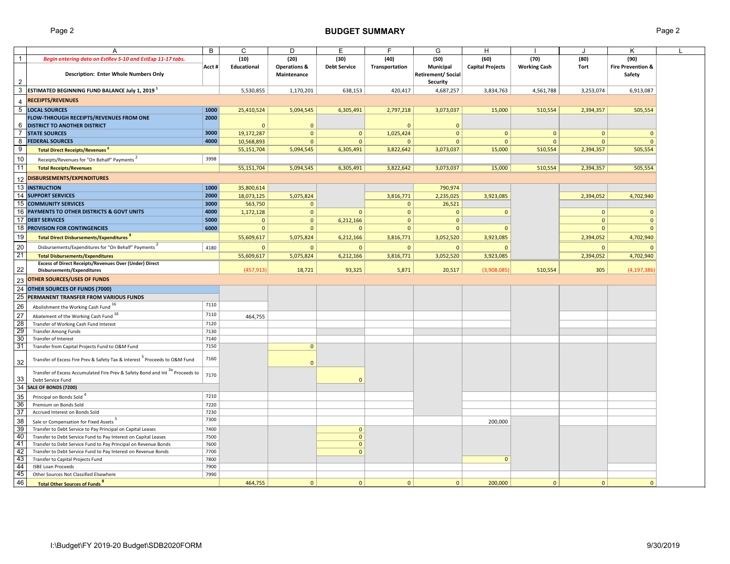# Page 2 **BUDGET SUMMARY** Page 2

|                 | A                                                                                      | B            | C            | D                       | E                            | F              | G                         | H                       |                     | J            | K                            |  |
|-----------------|----------------------------------------------------------------------------------------|--------------|--------------|-------------------------|------------------------------|----------------|---------------------------|-------------------------|---------------------|--------------|------------------------------|--|
|                 |                                                                                        |              |              |                         | (30)                         | (40)           | (50)                      | (60)                    | (70)                | (80)         | (90)                         |  |
| $\mathbf{1}$    | Begin entering data on EstRev 5-10 and EstExp 11-17 tabs.                              |              | (10)         | (20)                    |                              |                |                           |                         |                     |              |                              |  |
|                 |                                                                                        | Acct#        | Educational  | <b>Operations &amp;</b> | <b>Debt Service</b>          | Transportation | Municipal                 | <b>Capital Projects</b> | <b>Working Cash</b> | Tort         | <b>Fire Prevention &amp;</b> |  |
|                 | Description: Enter Whole Numbers Only                                                  |              |              | Maintenance             |                              |                | <b>Retirement/ Social</b> |                         |                     |              | Safety                       |  |
| $\overline{2}$  |                                                                                        |              |              |                         |                              |                | <b>Security</b>           |                         |                     |              |                              |  |
| 3               | ESTIMATED BEGINNING FUND BALANCE July 1, 2019 <sup>1</sup>                             |              | 5,530,855    | 1,170,201               | 638,153                      | 420,417        | 4,687,257                 | 3,834,763               | 4,561,788           | 3,253,074    | 6,913,087                    |  |
| $\overline{4}$  | <b>RECEIPTS/REVENUES</b>                                                               |              |              |                         |                              |                |                           |                         |                     |              |                              |  |
|                 |                                                                                        |              |              |                         |                              |                |                           |                         |                     |              |                              |  |
|                 | 5 LOCAL SOURCES                                                                        | 1000         | 25,410,524   | 5,094,545               | 6,305,491                    | 2,797,218      | 3,073,037                 | 15,000                  | 510,554             | 2,394,357    | 505,554                      |  |
|                 | FLOW-THROUGH RECEIPTS/REVENUES FROM ONE                                                | 2000         |              |                         |                              |                |                           |                         |                     |              |                              |  |
| 6               | <b>DISTRICT TO ANOTHER DISTRICT</b>                                                    |              | $\Omega$     | $\mathbf 0$             |                              | $\Omega$       | $\mathbf 0$               |                         |                     |              |                              |  |
| $\overline{7}$  | <b>STATE SOURCES</b>                                                                   | 3000         | 19,172,287   | $\mathbf{0}$            | $\mathbf{0}$                 | 1,025,424      | $\mathbf{0}$              | $\Omega$                | $\mathbf{0}$        | $\mathbf{0}$ | $\mathbf{0}$                 |  |
| 8               | <b>FEDERAL SOURCES</b>                                                                 | 4000         | 10,568,893   | $\mathbf{0}$            | $\mathbf{0}$                 | $\overline{0}$ | $\mathbf{0}$              | $\mathbf{0}$            | $\mathbf{0}$        | $\Omega$     | $\mathbf{0}$                 |  |
| 9               | <b>Total Direct Receipts/Revenues</b> <sup>8</sup>                                     |              | 55,151,704   | 5,094,545               | 6,305,491                    | 3,822,642      | 3,073,037                 | 15,000                  | 510,554             | 2,394,357    | 505,554                      |  |
| 10              | Receipts/Revenues for "On Behalf" Payments                                             | 3998         |              |                         |                              |                |                           |                         |                     |              |                              |  |
| 11              | <b>Total Receipts/Revenues</b>                                                         |              | 55,151,704   | 5,094,545               | 6,305,491                    | 3,822,642      | 3,073,037                 | 15,000                  | 510,554             | 2,394,357    | 505,554                      |  |
|                 |                                                                                        |              |              |                         |                              |                |                           |                         |                     |              |                              |  |
| 12              | <b>DISBURSEMENTS/EXPENDITURES</b>                                                      |              |              |                         |                              |                |                           |                         |                     |              |                              |  |
|                 | 13 INSTRUCTION                                                                         | 1000         | 35,800,614   |                         |                              |                | 790,974                   |                         |                     |              |                              |  |
|                 | 14 SUPPORT SERVICES                                                                    | 2000         | 18,073,125   | 5,075,824               |                              | 3,816,771      | 2,235,025                 | 3,923,085               |                     | 2,394,052    | 4,702,940                    |  |
| 15              | <b>COMMUNITY SERVICES</b>                                                              | 3000         | 563,750      | $\mathbf{0}$            |                              | $\overline{0}$ | 26,521                    |                         |                     |              |                              |  |
|                 | 16 PAYMENTS TO OTHER DISTRICTS & GOVT UNITS                                            | 4000         | 1,172,128    | $\mathbf{0}$            | $\mathbf{0}$                 | $\mathbf{0}$   | $\mathbf{0}$              | $\Omega$                |                     | $\mathbf{0}$ | $\mathbf{0}$                 |  |
|                 | 17 DEBT SERVICES                                                                       | 5000         | $\mathbf{0}$ | $\mathbf 0$             | 6,212,166                    | $\mathbf{0}$   | $\mathbf{0}$              |                         |                     | $\mathbf{0}$ | $\mathbf{0}$                 |  |
| 18              | <b>PROVISION FOR CONTINGENCIES</b>                                                     | 6000         | $\mathbf{0}$ | $\Omega$                | $\Omega$                     | $\Omega$       | $\mathbf{0}$              |                         |                     | $\Omega$     | $\Omega$                     |  |
|                 |                                                                                        |              |              |                         |                              |                |                           |                         |                     |              |                              |  |
| 19              | <b>Total Direct Disbursements/Expenditures</b>                                         |              | 55,609,617   | 5,075,824               | 6,212,166                    | 3,816,771      | 3,052,520                 | 3,923,085               |                     | 2,394,052    | 4,702,940                    |  |
| 20              | Disbursements/Expenditures for "On Behalf" Payments                                    | 4180         | $\mathbf{0}$ | $\mathbf{0}$            | $\mathbf{0}$                 | $\overline{0}$ | $\mathbf{0}$              | $\Omega$                |                     | $\Omega$     | $\Omega$                     |  |
| 21              | <b>Total Disbursements/Expenditures</b>                                                |              | 55,609,617   | 5,075,824               | 6,212,166                    | 3,816,771      | 3,052,520                 | 3,923,085               |                     | 2,394,052    | 4,702,940                    |  |
|                 | <b>Excess of Direct Receipts/Revenues Over (Under) Direct</b>                          |              |              |                         |                              |                |                           |                         |                     |              |                              |  |
| 22              | Disbursements/Expenditures                                                             |              | (457, 913)   | 18,721                  | 93,325                       | 5,871          | 20,517                    | (3,908,085)             | 510,554             | 305          | (4, 197, 386)                |  |
| 23              | <b>OTHER SOURCES/USES OF FUNDS</b>                                                     |              |              |                         |                              |                |                           |                         |                     |              |                              |  |
|                 |                                                                                        |              |              |                         |                              |                |                           |                         |                     |              |                              |  |
| 24              | OTHER SOURCES OF FUNDS (7000)                                                          |              |              |                         |                              |                |                           |                         |                     |              |                              |  |
| 25              | PERMANENT TRANSFER FROM VARIOUS FUNDS                                                  |              |              |                         |                              |                |                           |                         |                     |              |                              |  |
| 26              | Abolishment the Working Cash Fund 16                                                   | 7110         |              |                         |                              |                |                           |                         |                     |              |                              |  |
| 27              | Abatement of the Working Cash Fund 16                                                  | 7110         | 464,755      |                         |                              |                |                           |                         |                     |              |                              |  |
| 28              | Transfer of Working Cash Fund Interest                                                 | 7120         |              |                         |                              |                |                           |                         |                     |              |                              |  |
| 29              | <b>Transfer Among Funds</b>                                                            | 7130         |              |                         |                              |                |                           |                         |                     |              |                              |  |
| 30              | Transfer of Interest                                                                   | 7140         |              |                         |                              |                |                           |                         |                     |              |                              |  |
| 31              | Transfer from Capital Projects Fund to O&M Fund                                        | 7150         |              | $\mathbf{0}$            |                              |                |                           |                         |                     |              |                              |  |
|                 |                                                                                        |              |              |                         |                              |                |                           |                         |                     |              |                              |  |
|                 | Transfer of Excess Fire Prev & Safety Tax & Interest <sup>3</sup> Proceeds to O&M Fund | 7160         |              |                         |                              |                |                           |                         |                     |              |                              |  |
| 32              |                                                                                        |              |              | $\mathbf{0}$            |                              |                |                           |                         |                     |              |                              |  |
|                 | Transfer of Excess Accumulated Fire Prev & Safety Bond and Int 3a Proceeds to          | 7170         |              |                         |                              |                |                           |                         |                     |              |                              |  |
| 33              | Debt Service Fund                                                                      |              |              |                         | $\Omega$                     |                |                           |                         |                     |              |                              |  |
| $\overline{34}$ | SALE OF BONDS (7200)                                                                   |              |              |                         |                              |                |                           |                         |                     |              |                              |  |
| 35              | Principal on Bonds Sold <sup>4</sup>                                                   | 7210         |              |                         |                              |                |                           |                         |                     |              |                              |  |
| 36              | Premium on Bonds Sold                                                                  | 7220         |              |                         |                              |                |                           |                         |                     |              |                              |  |
| 37              | Accrued Interest on Bonds Sold                                                         | 7230         |              |                         |                              |                |                           |                         |                     |              |                              |  |
| 38              | Sale or Compensation for Fixed Assets                                                  | 7300         |              |                         |                              |                |                           | 200,000                 |                     |              |                              |  |
| 39              | Transfer to Debt Service to Pay Principal on Capital Leases                            | 7400         |              |                         | $\mathbf{0}$                 |                |                           |                         |                     |              |                              |  |
| 40              |                                                                                        | 7500         |              |                         |                              |                |                           |                         |                     |              |                              |  |
| 41              | Transfer to Debt Service Fund to Pay Interest on Capital Leases                        | 7600         |              |                         | $\mathbf{0}$<br>$\mathbf{0}$ |                |                           |                         |                     |              |                              |  |
| 42              | Transfer to Debt Service Fund to Pay Principal on Revenue Bonds                        |              |              |                         |                              |                |                           |                         |                     |              |                              |  |
| 43              | Transfer to Debt Service Fund to Pay Interest on Revenue Bonds                         | 7700<br>7800 |              |                         | $\mathbf{0}$                 |                |                           |                         |                     |              |                              |  |
|                 | Transfer to Capital Projects Fund                                                      |              |              |                         |                              |                |                           | $\mathbf{0}$            |                     |              |                              |  |
| 44              | <b>ISBE Loan Proceeds</b>                                                              | 7900         |              |                         |                              |                |                           |                         |                     |              |                              |  |
| 45              | Other Sources Not Classified Elsewhere                                                 | 7990         |              |                         |                              |                |                           |                         |                     |              |                              |  |
| 46              | <b>Total Other Sources of Funds<sup>8</sup></b>                                        |              | 464,755      | $\mathbf{0}$            | $\mathbf{0}$                 | $\mathbf{0}$   | $\mathbf{0}$              | 200,000                 | $\mathbf{0}$        | $\mathbf{0}$ | $\Omega$                     |  |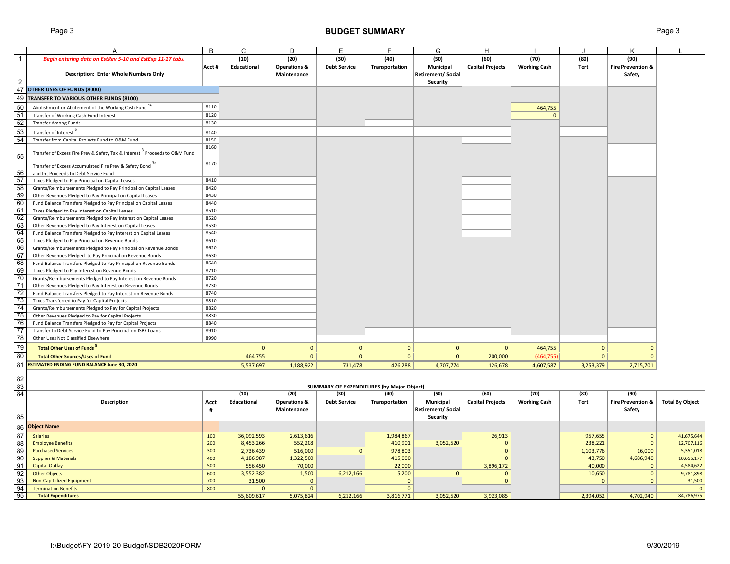# Page 3 **BUDGET SUMMARY** Page 3

|                | A                                                                                                  | B          | C                    | D                                      | Ε                                                | F               | G                                                  | н                       |                     |                  | Κ                                      |                         |
|----------------|----------------------------------------------------------------------------------------------------|------------|----------------------|----------------------------------------|--------------------------------------------------|-----------------|----------------------------------------------------|-------------------------|---------------------|------------------|----------------------------------------|-------------------------|
| $\mathbf{1}$   | Begin entering data on EstRev 5-10 and EstExp 11-17 tabs.                                          |            | (10)                 | (20)                                   | (30)                                             | (40)            | (50)                                               | (60)                    | (70)                | (80)             | (90)                                   |                         |
| $\overline{2}$ | Description: Enter Whole Numbers Only                                                              | Acct #     | Educational          | <b>Operations &amp;</b><br>Maintenance | <b>Debt Service</b>                              | Transportation  | Municipal<br><b>Retirement/ Social</b><br>Security | <b>Capital Projects</b> | <b>Working Cash</b> | Tort             | <b>Fire Prevention &amp;</b><br>Safety |                         |
|                | 47 OTHER USES OF FUNDS (8000)                                                                      |            |                      |                                        |                                                  |                 |                                                    |                         |                     |                  |                                        |                         |
|                | 49 TRANSFER TO VARIOUS OTHER FUNDS (8100)                                                          |            |                      |                                        |                                                  |                 |                                                    |                         |                     |                  |                                        |                         |
|                |                                                                                                    |            |                      |                                        |                                                  |                 |                                                    |                         |                     |                  |                                        |                         |
| 50             | Abolishment or Abatement of the Working Cash Fund 16                                               | 8110       |                      |                                        |                                                  |                 |                                                    |                         | 464,755             |                  |                                        |                         |
| 51             | Transfer of Working Cash Fund Interest                                                             | 8120       |                      |                                        |                                                  |                 |                                                    |                         | $\Omega$            |                  |                                        |                         |
| 52             | <b>Transfer Among Funds</b>                                                                        | 8130       |                      |                                        |                                                  |                 |                                                    |                         |                     |                  |                                        |                         |
| 53             | Transfer of Interest                                                                               | 8140       |                      |                                        |                                                  |                 |                                                    |                         |                     |                  |                                        |                         |
| 54             | Transfer from Capital Projects Fund to O&M Fund                                                    | 8150       |                      |                                        |                                                  |                 |                                                    |                         |                     |                  |                                        |                         |
| 55             | Transfer of Excess Fire Prev & Safety Tax & Interest <sup>3</sup> Proceeds to O&M Fund             | 8160       |                      |                                        |                                                  |                 |                                                    |                         |                     |                  |                                        |                         |
| 56             | Transfer of Excess Accumulated Fire Prev & Safety Bond 3a<br>and Int Proceeds to Debt Service Fund | 8170       |                      |                                        |                                                  |                 |                                                    |                         |                     |                  |                                        |                         |
| 57             | Taxes Pledged to Pay Principal on Capital Leases                                                   | 8410       |                      |                                        |                                                  |                 |                                                    |                         |                     |                  |                                        |                         |
| 58             | Grants/Reimbursements Pledged to Pay Principal on Capital Leases                                   | 8420       |                      |                                        |                                                  |                 |                                                    |                         |                     |                  |                                        |                         |
| $\frac{1}{59}$ | Other Revenues Pledged to Pay Principal on Capital Leases                                          | 8430       |                      |                                        |                                                  |                 |                                                    |                         |                     |                  |                                        |                         |
| 60             | Fund Balance Transfers Pledged to Pay Principal on Capital Leases                                  | 8440       |                      |                                        |                                                  |                 |                                                    |                         |                     |                  |                                        |                         |
| 61             | Taxes Pledged to Pay Interest on Capital Leases                                                    | 8510       |                      |                                        |                                                  |                 |                                                    |                         |                     |                  |                                        |                         |
| 62             | Grants/Reimbursements Pledged to Pay Interest on Capital Leases                                    | 8520       |                      |                                        |                                                  |                 |                                                    |                         |                     |                  |                                        |                         |
| 63             | Other Revenues Pledged to Pay Interest on Capital Leases                                           | 8530       |                      |                                        |                                                  |                 |                                                    |                         |                     |                  |                                        |                         |
| 64             | Fund Balance Transfers Pledged to Pay Interest on Capital Leases                                   | 8540       |                      |                                        |                                                  |                 |                                                    |                         |                     |                  |                                        |                         |
| 65             | Taxes Pledged to Pay Principal on Revenue Bonds                                                    | 8610       |                      |                                        |                                                  |                 |                                                    |                         |                     |                  |                                        |                         |
| 66             | Grants/Reimbursements Pledged to Pay Principal on Revenue Bonds                                    | 8620       |                      |                                        |                                                  |                 |                                                    |                         |                     |                  |                                        |                         |
| 67             | Other Revenues Pledged to Pay Principal on Revenue Bonds                                           | 8630       |                      |                                        |                                                  |                 |                                                    |                         |                     |                  |                                        |                         |
| 68             | Fund Balance Transfers Pledged to Pay Principal on Revenue Bonds                                   | 8640       |                      |                                        |                                                  |                 |                                                    |                         |                     |                  |                                        |                         |
| 69             | Taxes Pledged to Pay Interest on Revenue Bonds                                                     | 8710       |                      |                                        |                                                  |                 |                                                    |                         |                     |                  |                                        |                         |
| 70             | Grants/Reimbursements Pledged to Pay Interest on Revenue Bonds                                     | 8720       |                      |                                        |                                                  |                 |                                                    |                         |                     |                  |                                        |                         |
| 71             | Other Revenues Pledged to Pay Interest on Revenue Bonds                                            | 8730       |                      |                                        |                                                  |                 |                                                    |                         |                     |                  |                                        |                         |
| 72             | Fund Balance Transfers Pledged to Pay Interest on Revenue Bonds                                    | 8740       |                      |                                        |                                                  |                 |                                                    |                         |                     |                  |                                        |                         |
| 73             | Taxes Transferred to Pay for Capital Projects                                                      | 8810       |                      |                                        |                                                  |                 |                                                    |                         |                     |                  |                                        |                         |
| 74             | Grants/Reimbursements Pledged to Pay for Capital Projects                                          | 8820       |                      |                                        |                                                  |                 |                                                    |                         |                     |                  |                                        |                         |
| 75             | Other Revenues Pledged to Pay for Capital Projects                                                 | 8830       |                      |                                        |                                                  |                 |                                                    |                         |                     |                  |                                        |                         |
| 76             | Fund Balance Transfers Pledged to Pay for Capital Projects                                         | 8840       |                      |                                        |                                                  |                 |                                                    |                         |                     |                  |                                        |                         |
| 77             | Transfer to Debt Service Fund to Pay Principal on ISBE Loans                                       | 8910       |                      |                                        |                                                  |                 |                                                    |                         |                     |                  |                                        |                         |
| 78             | Other Uses Not Classified Elsewhere                                                                | 8990       |                      |                                        |                                                  |                 |                                                    |                         |                     |                  |                                        |                         |
| 79             | <b>Total Other Uses of Funds</b>                                                                   |            | $\mathbf{0}$         | $\mathbf{0}$                           | $\mathbf{0}$                                     | $\mathbf{0}$    | $\mathbf{0}$                                       | $\mathbf{0}$            | 464,755             | $\mathbf{0}$     | $\Omega$                               |                         |
| 80             | <b>Total Other Sources/Uses of Fund</b>                                                            |            | 464,755              | $\mathbf{0}$                           | $\mathbf 0$                                      | 0               | 0 <sup>1</sup>                                     | 200,000                 | (464, 755)          | $\mathbf{0}$     | $\mathbf{0}$                           |                         |
|                | 81 ESTIMATED ENDING FUND BALANCE June 30, 2020                                                     |            | 5,537,697            | 1,188,922                              | 731,478                                          | 426,288         | 4,707,774                                          | 126,678                 | 4,607,587           | 3,253,379        | 2,715,701                              |                         |
|                |                                                                                                    |            |                      |                                        |                                                  |                 |                                                    |                         |                     |                  |                                        |                         |
| 82<br>83       |                                                                                                    |            |                      |                                        | <b>SUMMARY OF EXPENDITURES (by Major Object)</b> |                 |                                                    |                         |                     |                  |                                        |                         |
| 84             |                                                                                                    |            | (10)                 | (20)                                   | (30)                                             | (40)            | (50)                                               | (60)                    | (70)                | (80)             | (90)                                   |                         |
|                | Description                                                                                        | Acct       | Educational          | <b>Operations &amp;</b>                | <b>Debt Service</b>                              | Transportation  | Municipal                                          | <b>Capital Projects</b> | <b>Working Cash</b> | Tort             | <b>Fire Prevention &amp;</b>           | <b>Total By Object</b>  |
| 85             |                                                                                                    | #          |                      | Maintenance                            |                                                  |                 | <b>Retirement/Social</b><br>Security               |                         |                     |                  | Safety                                 |                         |
|                | <b>Object Name</b>                                                                                 |            |                      |                                        |                                                  |                 |                                                    |                         |                     |                  |                                        |                         |
| 86             | <b>Salaries</b>                                                                                    |            |                      |                                        |                                                  |                 |                                                    |                         |                     |                  |                                        |                         |
| 87             | <b>Employee Benefits</b>                                                                           | 100        | 36,092,593           | 2,613,616                              |                                                  | 1,984,867       |                                                    | 26,913                  |                     | 957,655          | $\mathbf{0}$                           | 41,675,644              |
| 88             |                                                                                                    | 200        | 8,453,266            | 552,208                                | $\mathbf{0}$                                     | 410,901         | 3,052,520                                          | $\mathbf{0}$            |                     | 238,221          | $\mathbf{0}$                           | 12,707,116              |
| 89             | <b>Purchased Services</b>                                                                          | 300<br>400 | 2,736,439            | 516,000                                |                                                  | 978,803         |                                                    | $\mathbf 0$<br>$\Omega$ |                     | 1,103,776        | 16,000                                 | 5,351,018               |
| 90<br>91       | <b>Supplies &amp; Materials</b><br><b>Capital Outlay</b>                                           | 500        | 4,186,987            | 1,322,500                              |                                                  | 415,000         |                                                    |                         |                     | 43,750           | 4,686,940<br>$\mathbf{0}$              | 10,655,177<br>4,584,622 |
| 92             | <b>Other Objects</b>                                                                               | 600        | 556,450<br>3,552,382 | 70,000<br>1,500                        | 6,212,166                                        | 22,000<br>5,200 | $\mathbf{0}$                                       | 3,896,172<br>$\Omega$   |                     | 40,000<br>10,650 | $\mathbf{0}$                           | 9,781,898               |
| 93             | Non-Capitalized Equipment                                                                          | 700        | 31,500               | $\mathbf{0}$                           |                                                  | $\Omega$        |                                                    | $\Omega$                |                     | $\Omega$         | $\mathbf{0}$                           | 31,500                  |
| 94             | <b>Termination Benefits</b>                                                                        | 800        | $\mathbf{0}$         | $\mathbf{0}$                           |                                                  | $\mathbf{0}$    |                                                    |                         |                     |                  |                                        | $\Omega$                |
| 95             | <b>Total Expenditures</b>                                                                          |            | 55,609,617           | 5,075,824                              | 6,212,166                                        | 3,816,771       | 3,052,520                                          | 3,923,085               |                     | 2,394,052        | 4,702,940                              | 84,786,975              |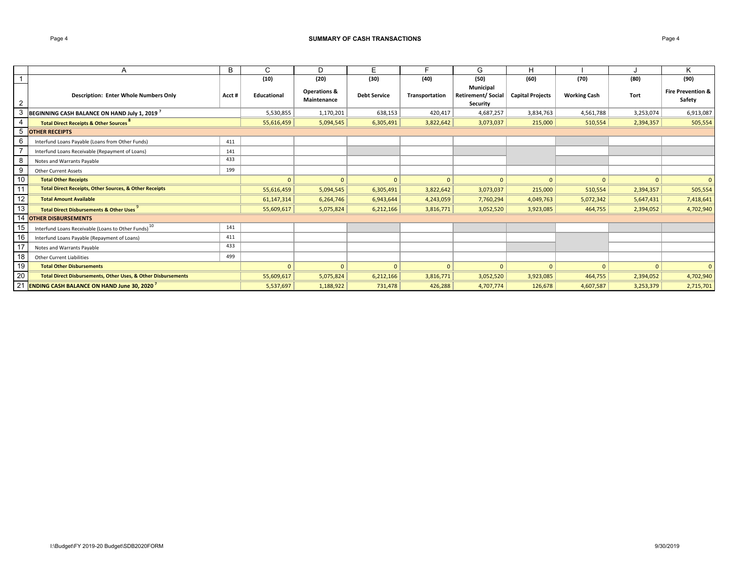#### Page 4 **SUMMARY OF CASH TRANSACTIONS**S Page 4

|    | A                                                                        | В     | С            | D                                      | E                   |                | G                                                        | H                       |                     |           | K                                      |
|----|--------------------------------------------------------------------------|-------|--------------|----------------------------------------|---------------------|----------------|----------------------------------------------------------|-------------------------|---------------------|-----------|----------------------------------------|
|    |                                                                          |       | (10)         | (20)                                   | (30)                | (40)           | (50)                                                     | (60)                    | (70)                | (80)      | (90)                                   |
| 2  | <b>Description: Enter Whole Numbers Only</b>                             | Acct# | Educational  | <b>Operations &amp;</b><br>Maintenance | <b>Debt Service</b> | Transportation | <b>Municipal</b><br><b>Retirement/Social</b><br>Security | <b>Capital Projects</b> | <b>Working Cash</b> | Tort      | <b>Fire Prevention &amp;</b><br>Safety |
| 3  | BEGINNING CASH BALANCE ON HAND July 1, 2019 <sup>7</sup>                 |       | 5,530,855    | 1,170,201                              | 638,153             | 420,417        | 4,687,257                                                | 3,834,763               | 4,561,788           | 3,253,074 | 6,913,087                              |
| 4  | <b>Total Direct Receipts &amp; Other Sources</b>                         |       | 55,616,459   | 5,094,545                              | 6,305,491           | 3,822,642      | 3,073,037                                                | 215,000                 | 510,554             | 2,394,357 | 505,554                                |
| 5  | <b>OTHER RECEIPTS</b>                                                    |       |              |                                        |                     |                |                                                          |                         |                     |           |                                        |
| 6  | Interfund Loans Payable (Loans from Other Funds)                         | 411   |              |                                        |                     |                |                                                          |                         |                     |           |                                        |
|    | Interfund Loans Receivable (Repayment of Loans)                          | 141   |              |                                        |                     |                |                                                          |                         |                     |           |                                        |
| 8  | Notes and Warrants Payable                                               | 433   |              |                                        |                     |                |                                                          |                         |                     |           |                                        |
| 9  | <b>Other Current Assets</b>                                              | 199   |              |                                        |                     |                |                                                          |                         |                     |           |                                        |
| 10 | <b>Total Other Receipts</b>                                              |       | $\mathbf{0}$ | $\Omega$                               | $\Omega$            | $\mathbf{0}$   | $\mathbf{0}$                                             | $\mathbf{0}$            | $\overline{0}$      | $\Omega$  | $\mathbf{0}$                           |
| 11 | <b>Total Direct Receipts, Other Sources, &amp; Other Receipts</b>        |       | 55,616,459   | 5,094,545                              | 6,305,491           | 3,822,642      | 3,073,037                                                | 215,000                 | 510,554             | 2,394,357 | 505,554                                |
| 12 | <b>Total Amount Available</b>                                            |       | 61,147,314   | 6,264,746                              | 6,943,644           | 4,243,059      | 7,760,294                                                | 4,049,763               | 5,072,342           | 5,647,431 | 7,418,641                              |
| 13 | <b>Total Direct Disbursements &amp; Other Uses</b>                       |       | 55,609,617   | 5,075,824                              | 6,212,166           | 3,816,771      | 3,052,520                                                | 3,923,085               | 464,755             | 2,394,052 | 4,702,940                              |
| 14 | <b>OTHER DISBURSEMENTS</b>                                               |       |              |                                        |                     |                |                                                          |                         |                     |           |                                        |
| 15 | Interfund Loans Receivable (Loans to Other Funds) <sup>10</sup>          | 141   |              |                                        |                     |                |                                                          |                         |                     |           |                                        |
| 16 | Interfund Loans Payable (Repayment of Loans)                             | 411   |              |                                        |                     |                |                                                          |                         |                     |           |                                        |
| 17 | Notes and Warrants Payable                                               | 433   |              |                                        |                     |                |                                                          |                         |                     |           |                                        |
| 18 | <b>Other Current Liabilities</b>                                         | 499   |              |                                        |                     |                |                                                          |                         |                     |           |                                        |
| 19 | <b>Total Other Disbursements</b>                                         |       | $\mathbf{0}$ | $\Omega$                               | $\Omega$            | $\Omega$       | $\Omega$                                                 | $\Omega$                | $\Omega$            |           | $\mathbf{0}$                           |
| 20 | <b>Total Direct Disbursements, Other Uses, &amp; Other Disbursements</b> |       | 55,609,617   | 5,075,824                              | 6,212,166           | 3,816,771      | 3,052,520                                                | 3,923,085               | 464,755             | 2,394,052 | 4,702,940                              |
| 21 | <b>ENDING CASH BALANCE ON HAND June 30, 2020</b>                         |       | 5,537,697    | 1,188,922                              | 731,478             | 426,288        | 4,707,774                                                | 126,678                 | 4,607,587           | 3,253,379 | 2,715,701                              |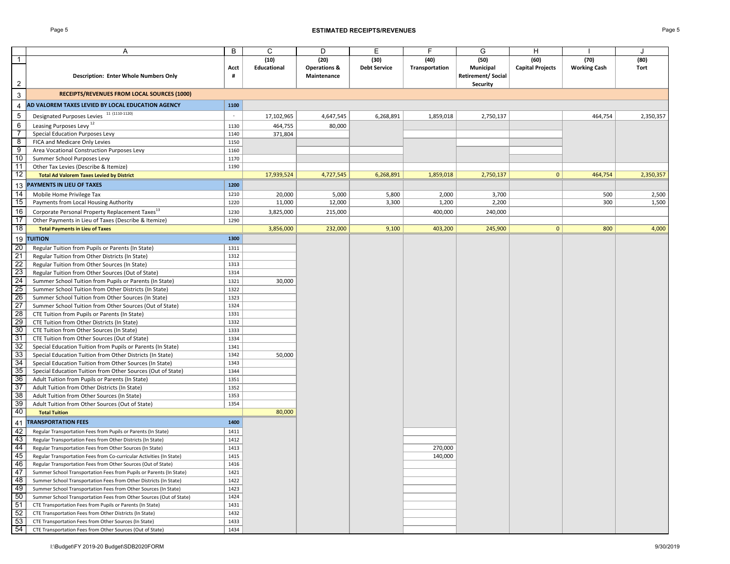### Page 5 **ESTIMATED RECEIPTS/REVENUES** Page 5

|                         | Α                                                                                                                   | B            | C           | D                       | Ε                   | F              | G                        | н                       |                     | J         |
|-------------------------|---------------------------------------------------------------------------------------------------------------------|--------------|-------------|-------------------------|---------------------|----------------|--------------------------|-------------------------|---------------------|-----------|
| 1                       |                                                                                                                     |              | (10)        | (20)                    | (30)                | (40)           | (50)                     | (60)                    | (70)                | (80)      |
|                         |                                                                                                                     | Acct         | Educational | <b>Operations &amp;</b> | <b>Debt Service</b> | Transportation | Municipal                | <b>Capital Projects</b> | <b>Working Cash</b> | Tort      |
|                         |                                                                                                                     |              |             |                         |                     |                |                          |                         |                     |           |
|                         | <b>Description: Enter Whole Numbers Only</b>                                                                        | #            |             | Maintenance             |                     |                | <b>Retirement/Social</b> |                         |                     |           |
| $\overline{\mathbf{c}}$ |                                                                                                                     |              |             |                         |                     |                | Security                 |                         |                     |           |
| 3                       | RECEIPTS/REVENUES FROM LOCAL SOURCES (1000)                                                                         |              |             |                         |                     |                |                          |                         |                     |           |
| 4                       | AD VALOREM TAXES LEVIED BY LOCAL EDUCATION AGENCY                                                                   | 1100         |             |                         |                     |                |                          |                         |                     |           |
| $\,$ 5 $\,$             | Designated Purposes Levies 11 (1110-1120)                                                                           | $\sim$       | 17,102,965  | 4,647,545               | 6,268,891           | 1,859,018      | 2,750,137                |                         | 464,754             | 2,350,357 |
| 6                       | Leasing Purposes Levy <sup>12</sup>                                                                                 | 1130         | 464,755     | 80,000                  |                     |                |                          |                         |                     |           |
| $\overline{7}$          | Special Education Purposes Levy                                                                                     | 1140         | 371,804     |                         |                     |                |                          |                         |                     |           |
| 8                       | FICA and Medicare Only Levies                                                                                       | 1150         |             |                         |                     |                |                          |                         |                     |           |
| $\overline{9}$          | Area Vocational Construction Purposes Levy                                                                          | 1160         |             |                         |                     |                |                          |                         |                     |           |
| 10                      | Summer School Purposes Levy                                                                                         | 1170         |             |                         |                     |                |                          |                         |                     |           |
| $\overline{11}$         | Other Tax Levies (Describe & Itemize)                                                                               | 1190         |             |                         |                     |                |                          |                         |                     |           |
| 12                      | <b>Total Ad Valorem Taxes Levied by District</b>                                                                    |              | 17,939,524  | 4,727,545               | 6,268,891           | 1,859,018      | 2,750,137                | 0                       | 464,754             | 2,350,357 |
| 13                      | <b>PAYMENTS IN LIEU OF TAXES</b>                                                                                    | 1200         |             |                         |                     |                |                          |                         |                     |           |
| 14                      | Mobile Home Privilege Tax                                                                                           | 1210         | 20,000      | 5,000                   | 5,800               | 2,000          | 3,700                    |                         | 500                 | 2,500     |
| 15                      | Payments from Local Housing Authority                                                                               | 1220         | 11,000      | 12,000                  | 3,300               | 1,200          | 2,200                    |                         | 300                 | 1,500     |
| 16                      |                                                                                                                     |              |             |                         |                     |                |                          |                         |                     |           |
| 17                      | Corporate Personal Property Replacement Taxes <sup>13</sup><br>Other Payments in Lieu of Taxes (Describe & Itemize) | 1230<br>1290 | 3,825,000   | 215,000                 |                     | 400,000        | 240,000                  |                         |                     |           |
| 18                      | <b>Total Payments in Lieu of Taxes</b>                                                                              |              |             |                         | 9,100               | 403,200        | 245,900                  | $\mathbf{0}$            | 800                 | 4,000     |
|                         |                                                                                                                     |              | 3,856,000   | 232,000                 |                     |                |                          |                         |                     |           |
| 19                      | <b>TUITION</b>                                                                                                      | 1300         |             |                         |                     |                |                          |                         |                     |           |
| 20                      | Regular Tuition from Pupils or Parents (In State)                                                                   | 1311         |             |                         |                     |                |                          |                         |                     |           |
| 21                      | Regular Tuition from Other Districts (In State)                                                                     | 1312         |             |                         |                     |                |                          |                         |                     |           |
| $\overline{22}$         | Regular Tuition from Other Sources (In State)                                                                       | 1313         |             |                         |                     |                |                          |                         |                     |           |
| 23                      | Regular Tuition from Other Sources (Out of State)                                                                   | 1314         |             |                         |                     |                |                          |                         |                     |           |
| 24                      | Summer School Tuition from Pupils or Parents (In State)                                                             | 1321         | 30,000      |                         |                     |                |                          |                         |                     |           |
| 25                      | Summer School Tuition from Other Districts (In State)                                                               | 1322         |             |                         |                     |                |                          |                         |                     |           |
| 26                      | Summer School Tuition from Other Sources (In State)                                                                 | 1323         |             |                         |                     |                |                          |                         |                     |           |
| $\overline{27}$         | Summer School Tuition from Other Sources (Out of State)                                                             | 1324         |             |                         |                     |                |                          |                         |                     |           |
| 28                      | CTE Tuition from Pupils or Parents (In State)                                                                       | 1331         |             |                         |                     |                |                          |                         |                     |           |
| 29                      | CTE Tuition from Other Districts (In State)                                                                         | 1332         |             |                         |                     |                |                          |                         |                     |           |
| 30<br>31                | CTE Tuition from Other Sources (In State)                                                                           | 1333         |             |                         |                     |                |                          |                         |                     |           |
| 32                      | CTE Tuition from Other Sources (Out of State)<br>Special Education Tuition from Pupils or Parents (In State)        | 1334<br>1341 |             |                         |                     |                |                          |                         |                     |           |
| 33                      | Special Education Tuition from Other Districts (In State)                                                           | 1342         | 50,000      |                         |                     |                |                          |                         |                     |           |
| 34                      | Special Education Tuition from Other Sources (In State)                                                             | 1343         |             |                         |                     |                |                          |                         |                     |           |
| 35                      | Special Education Tuition from Other Sources (Out of State)                                                         | 1344         |             |                         |                     |                |                          |                         |                     |           |
| 36                      | Adult Tuition from Pupils or Parents (In State)                                                                     | 1351         |             |                         |                     |                |                          |                         |                     |           |
| $\overline{37}$         | Adult Tuition from Other Districts (In State)                                                                       | 1352         |             |                         |                     |                |                          |                         |                     |           |
| 38                      | Adult Tuition from Other Sources (In State)                                                                         | 1353         |             |                         |                     |                |                          |                         |                     |           |
| 39                      | Adult Tuition from Other Sources (Out of State)                                                                     | 1354         |             |                         |                     |                |                          |                         |                     |           |
| 40                      | <b>Total Tuition</b>                                                                                                |              | 80,000      |                         |                     |                |                          |                         |                     |           |
| 41                      | <b>TRANSPORTATION FEES</b>                                                                                          | 1400         |             |                         |                     |                |                          |                         |                     |           |
| 42                      | Regular Transportation Fees from Pupils or Parents (In State)                                                       | 1411         |             |                         |                     |                |                          |                         |                     |           |
| 43                      | Regular Transportation Fees from Other Districts (In State)                                                         | 1412         |             |                         |                     |                |                          |                         |                     |           |
| 44                      | Regular Transportation Fees from Other Sources (In State)                                                           | 1413         |             |                         |                     | 270,000        |                          |                         |                     |           |
| 45                      | Regular Transportation Fees from Co-curricular Activities (In State)                                                | 1415         |             |                         |                     | 140,000        |                          |                         |                     |           |
| 46                      | Regular Transportation Fees from Other Sources (Out of State)                                                       | 1416         |             |                         |                     |                |                          |                         |                     |           |
| 47                      | Summer School Transportation Fees from Pupils or Parents (In State)                                                 | 1421         |             |                         |                     |                |                          |                         |                     |           |
| 48                      | Summer School Transportation Fees from Other Districts (In State)                                                   | 1422         |             |                         |                     |                |                          |                         |                     |           |
| 49                      | Summer School Transportation Fees from Other Sources (In State)                                                     | 1423         |             |                         |                     |                |                          |                         |                     |           |
| 50                      | Summer School Transportation Fees from Other Sources (Out of State)                                                 | 1424         |             |                         |                     |                |                          |                         |                     |           |
| 51                      | CTE Transportation Fees from Pupils or Parents (In State)                                                           | 1431         |             |                         |                     |                |                          |                         |                     |           |
| 52                      | CTE Transportation Fees from Other Districts (In State)                                                             | 1432         |             |                         |                     |                |                          |                         |                     |           |
| 53                      | CTE Transportation Fees from Other Sources (In State)                                                               | 1433         |             |                         |                     |                |                          |                         |                     |           |
| 54                      | CTE Transportation Fees from Other Sources (Out of State)                                                           | 1434         |             |                         |                     |                |                          |                         |                     |           |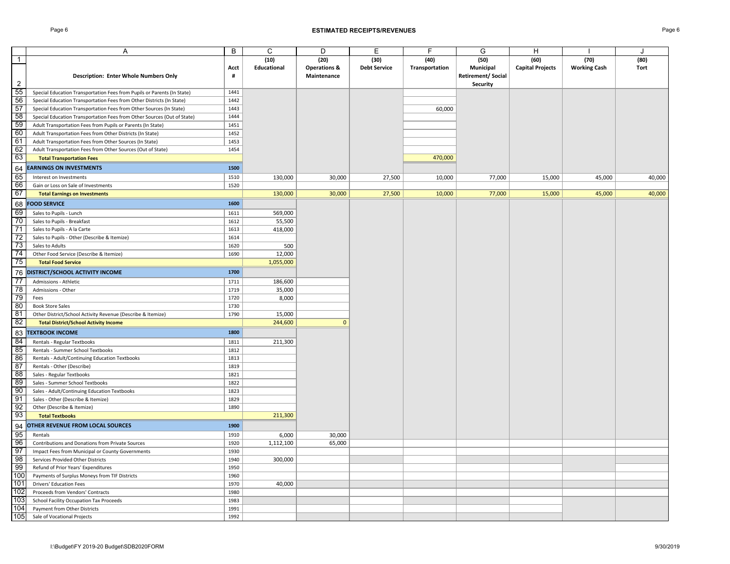### Page 6 **ESTIMATED RECEIPTS/REVENUES** Page 6

|                 | Α                                                                       | B            | C           | D                       | Ε                   | F              | G                 | Н                       |                     |             |
|-----------------|-------------------------------------------------------------------------|--------------|-------------|-------------------------|---------------------|----------------|-------------------|-------------------------|---------------------|-------------|
| $\mathbf{1}$    |                                                                         |              | (10)        | (20)                    | (30)                | (40)           | (50)              | (60)                    | (70)                | (80)        |
|                 |                                                                         | Acct         | Educational | <b>Operations &amp;</b> | <b>Debt Service</b> | Transportation | Municipal         | <b>Capital Projects</b> | <b>Working Cash</b> | <b>Tort</b> |
|                 | <b>Description: Enter Whole Numbers Only</b>                            | #            |             | Maintenance             |                     |                | Retirement/Social |                         |                     |             |
| $\overline{2}$  |                                                                         |              |             |                         |                     |                | Security          |                         |                     |             |
| 55              | Special Education Transportation Fees from Pupils or Parents (In State) | 1441         |             |                         |                     |                |                   |                         |                     |             |
| 56              | Special Education Transportation Fees from Other Districts (In State)   | 1442         |             |                         |                     |                |                   |                         |                     |             |
| 57              | Special Education Transportation Fees from Other Sources (In State)     | 1443         |             |                         |                     | 60,000         |                   |                         |                     |             |
| 58              | Special Education Transportation Fees from Other Sources (Out of State) | 1444         |             |                         |                     |                |                   |                         |                     |             |
| 59              | Adult Transportation Fees from Pupils or Parents (In State)             | 1451         |             |                         |                     |                |                   |                         |                     |             |
| 60              | Adult Transportation Fees from Other Districts (In State)               | 1452         |             |                         |                     |                |                   |                         |                     |             |
| 61              | Adult Transportation Fees from Other Sources (In State)                 | 1453         |             |                         |                     |                |                   |                         |                     |             |
| 62              | Adult Transportation Fees from Other Sources (Out of State)             | 1454         |             |                         |                     |                |                   |                         |                     |             |
| 63              | <b>Total Transportation Fees</b>                                        |              |             |                         |                     | 470,000        |                   |                         |                     |             |
|                 |                                                                         |              |             |                         |                     |                |                   |                         |                     |             |
| 64              | <b>EARNINGS ON INVESTMENTS</b>                                          | 1500         |             |                         |                     |                |                   |                         |                     |             |
| 65              | Interest on Investments                                                 | 1510         | 130,000     | 30,000                  | 27,500              | 10,000         | 77,000            | 15,000                  | 45,000              | 40,000      |
| 66              | Gain or Loss on Sale of Investments                                     | 1520         |             |                         |                     |                |                   |                         |                     |             |
| 67              | <b>Total Earnings on Investments</b>                                    |              | 130,000     | 30,000                  | 27,500              | 10,000         | 77,000            | 15,000                  | 45,000              | 40,000      |
| 68              | <b>FOOD SERVICE</b>                                                     | 1600         |             |                         |                     |                |                   |                         |                     |             |
| 69              | Sales to Pupils - Lunch                                                 | 1611         | 569,000     |                         |                     |                |                   |                         |                     |             |
| 70              | Sales to Pupils - Breakfast                                             | 1612         | 55,500      |                         |                     |                |                   |                         |                     |             |
| 71              | Sales to Pupils - A la Carte                                            | 1613         | 418,000     |                         |                     |                |                   |                         |                     |             |
| 72              | Sales to Pupils - Other (Describe & Itemize)                            | 1614         |             |                         |                     |                |                   |                         |                     |             |
| 73              | Sales to Adults                                                         | 1620         | 500         |                         |                     |                |                   |                         |                     |             |
| 74              | Other Food Service (Describe & Itemize)                                 | 1690         | 12,000      |                         |                     |                |                   |                         |                     |             |
| 75              |                                                                         |              | 1,055,000   |                         |                     |                |                   |                         |                     |             |
|                 | <b>Total Food Service</b>                                               |              |             |                         |                     |                |                   |                         |                     |             |
| 76              | DISTRICT/SCHOOL ACTIVITY INCOME                                         | 1700         |             |                         |                     |                |                   |                         |                     |             |
| $\overline{77}$ | Admissions - Athletic                                                   | 1711         | 186,600     |                         |                     |                |                   |                         |                     |             |
| 78              | Admissions - Other                                                      | 1719         | 35,000      |                         |                     |                |                   |                         |                     |             |
| 79              | Fees                                                                    | 1720         | 8,000       |                         |                     |                |                   |                         |                     |             |
| 80              | <b>Book Store Sales</b>                                                 | 1730         |             |                         |                     |                |                   |                         |                     |             |
| 81              | Other District/School Activity Revenue (Describe & Itemize)             | 1790         | 15,000      |                         |                     |                |                   |                         |                     |             |
| 82              | <b>Total District/School Activity Income</b>                            |              | 244,600     | $\mathbf{0}$            |                     |                |                   |                         |                     |             |
| 83              | <b>TEXTBOOK INCOME</b>                                                  | 1800         |             |                         |                     |                |                   |                         |                     |             |
| 84              | Rentals - Regular Textbooks                                             | 1811         | 211,300     |                         |                     |                |                   |                         |                     |             |
| 85              | Rentals - Summer School Textbooks                                       | 1812         |             |                         |                     |                |                   |                         |                     |             |
| 86              | Rentals - Adult/Continuing Education Textbooks                          | 1813         |             |                         |                     |                |                   |                         |                     |             |
| 87              |                                                                         | 1819         |             |                         |                     |                |                   |                         |                     |             |
| 88              | Rentals - Other (Describe)                                              |              |             |                         |                     |                |                   |                         |                     |             |
| 89              | Sales - Regular Textbooks                                               | 1821<br>1822 |             |                         |                     |                |                   |                         |                     |             |
|                 | Sales - Summer School Textbooks                                         |              |             |                         |                     |                |                   |                         |                     |             |
| 90              | Sales - Adult/Continuing Education Textbooks                            | 1823         |             |                         |                     |                |                   |                         |                     |             |
| 91              | Sales - Other (Describe & Itemize)                                      | 1829         |             |                         |                     |                |                   |                         |                     |             |
| 92<br>93        | Other (Describe & Itemize)                                              | 1890         | 211,300     |                         |                     |                |                   |                         |                     |             |
|                 | <b>Total Textbooks</b>                                                  |              |             |                         |                     |                |                   |                         |                     |             |
| 94              | OTHER REVENUE FROM LOCAL SOURCES                                        | 1900         |             |                         |                     |                |                   |                         |                     |             |
| 95              | Rentals                                                                 | 1910         | 6,000       | 30,000                  |                     |                |                   |                         |                     |             |
| 96              | Contributions and Donations from Private Sources                        | 1920         | 1,112,100   | 65,000                  |                     |                |                   |                         |                     |             |
| 97              | Impact Fees from Municipal or County Governments                        | 1930         |             |                         |                     |                |                   |                         |                     |             |
| 98              | Services Provided Other Districts                                       | 1940         | 300,000     |                         |                     |                |                   |                         |                     |             |
| 99              | Refund of Prior Years' Expenditures                                     | 1950         |             |                         |                     |                |                   |                         |                     |             |
| 100             | Payments of Surplus Moneys from TIF Districts                           | 1960         |             |                         |                     |                |                   |                         |                     |             |
| 101             | <b>Drivers' Education Fees</b>                                          | 1970         | 40,000      |                         |                     |                |                   |                         |                     |             |
| 102             | Proceeds from Vendors' Contracts                                        | 1980         |             |                         |                     |                |                   |                         |                     |             |
| 103             | School Facility Occupation Tax Proceeds                                 | 1983         |             |                         |                     |                |                   |                         |                     |             |
| 104             | Payment from Other Districts                                            | 1991         |             |                         |                     |                |                   |                         |                     |             |
| 105             | Sale of Vocational Projects                                             | 1992         |             |                         |                     |                |                   |                         |                     |             |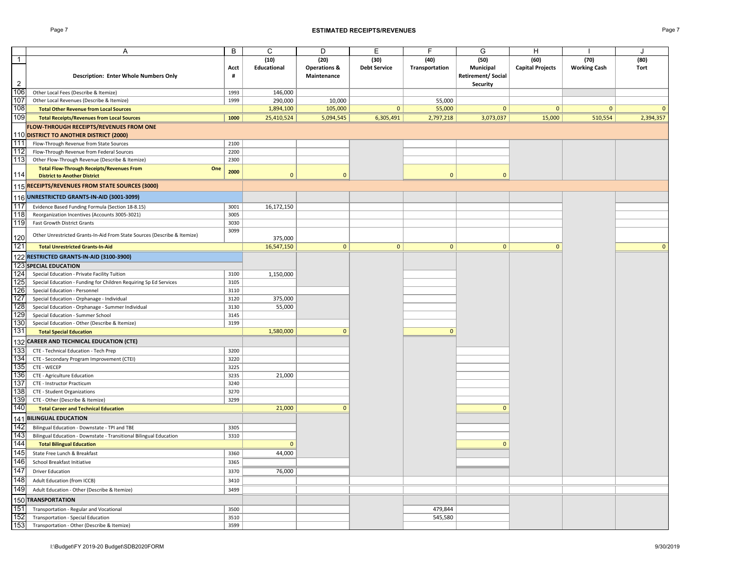### Page 7 **ESTIMATED RECEIPTS/REVENUES** Page 7

|                | Α                                                                        | B    | C                  | D                       | Ε                   | F              | G                        | Н                       |                     | $\cdot$      |
|----------------|--------------------------------------------------------------------------|------|--------------------|-------------------------|---------------------|----------------|--------------------------|-------------------------|---------------------|--------------|
| $\overline{1}$ |                                                                          |      | (10)               | (20)                    | (30)                | (40)           | (50)                     | (60)                    | (70)                | (80)         |
|                |                                                                          | Acct | <b>Educational</b> | <b>Operations &amp;</b> | <b>Debt Service</b> | Transportation | Municipal                | <b>Capital Projects</b> | <b>Working Cash</b> | Tort         |
|                | <b>Description: Enter Whole Numbers Only</b>                             | #    |                    | Maintenance             |                     |                | <b>Retirement/Social</b> |                         |                     |              |
| $\overline{2}$ |                                                                          |      |                    |                         |                     |                | Security                 |                         |                     |              |
| 106            | Other Local Fees (Describe & Itemize)                                    | 1993 | 146,000            |                         |                     |                |                          |                         |                     |              |
| 107            | Other Local Revenues (Describe & Itemize)                                | 1999 | 290,000            | 10,000                  |                     | 55,000         |                          |                         |                     |              |
| 108            | <b>Total Other Revenue from Local Sources</b>                            |      | 1,894,100          | 105,000                 | $\mathbf{0}$        | 55,000         | $\mathbf{0}$             | $\mathbf{0}$            | $\mathbf{0}$        | $\mathbf{0}$ |
| 109            | <b>Total Receipts/Revenues from Local Sources</b>                        | 1000 | 25,410,524         | 5,094,545               | 6,305,491           | 2,797,218      | 3,073,037                | 15,000                  | 510,554             | 2,394,357    |
|                | <b>FLOW-THROUGH RECEIPTS/REVENUES FROM ONE</b>                           |      |                    |                         |                     |                |                          |                         |                     |              |
|                | 110 DISTRICT TO ANOTHER DISTRICT (2000)                                  |      |                    |                         |                     |                |                          |                         |                     |              |
| 111            | Flow-Through Revenue from State Sources                                  | 2100 |                    |                         |                     |                |                          |                         |                     |              |
| 112            | Flow-Through Revenue from Federal Sources                                | 2200 |                    |                         |                     |                |                          |                         |                     |              |
| 113            | Other Flow-Through Revenue (Describe & Itemize)                          | 2300 |                    |                         |                     |                |                          |                         |                     |              |
|                | <b>Total Flow-Through Receipts/Revenues From</b><br>One                  |      |                    |                         |                     |                |                          |                         |                     |              |
| 114            | <b>District to Another District</b>                                      | 2000 | $\mathbf{0}$       | $\mathbf{0}$            |                     | $\mathbf{0}$   | $\mathbf{0}$             |                         |                     |              |
|                | 115 RECEIPTS/REVENUES FROM STATE SOURCES (3000)                          |      |                    |                         |                     |                |                          |                         |                     |              |
|                | UNRESTRICTED GRANTS-IN-AID (3001-3099)                                   |      |                    |                         |                     |                |                          |                         |                     |              |
| 116            |                                                                          |      |                    |                         |                     |                |                          |                         |                     |              |
| 117            | Evidence Based Funding Formula (Section 18-8.15)                         | 3001 | 16,172,150         |                         |                     |                |                          |                         |                     |              |
| 118            | Reorganization Incentives (Accounts 3005-3021)                           | 3005 |                    |                         |                     |                |                          |                         |                     |              |
| 119            | Fast Growth District Grants                                              | 3030 |                    |                         |                     |                |                          |                         |                     |              |
| 120            | Other Unrestricted Grants-In-Aid From State Sources (Describe & Itemize) | 3099 | 375,000            |                         |                     |                |                          |                         |                     |              |
| 121            | <b>Total Unrestricted Grants-In-Aid</b>                                  |      | 16,547,150         | $\mathbf{0}$            | $\mathbf{0}$        | $\mathbf 0$    | $\mathbf{0}$             | $\Omega$                |                     | $\mathbf{0}$ |
|                |                                                                          |      |                    |                         |                     |                |                          |                         |                     |              |
| 122            | RESTRICTED GRANTS-IN-AID (3100-3900)                                     |      |                    |                         |                     |                |                          |                         |                     |              |
|                | <b>123 SPECIAL EDUCATION</b>                                             |      |                    |                         |                     |                |                          |                         |                     |              |
| 124            | Special Education - Private Facility Tuition                             | 3100 | 1,150,000          |                         |                     |                |                          |                         |                     |              |
| 125            | Special Education - Funding for Children Requiring Sp Ed Services        | 3105 |                    |                         |                     |                |                          |                         |                     |              |
| 126            | Special Education - Personnel                                            | 3110 |                    |                         |                     |                |                          |                         |                     |              |
| 127            | Special Education - Orphanage - Individual                               | 3120 | 375,000            |                         |                     |                |                          |                         |                     |              |
| 128            | Special Education - Orphanage - Summer Individual                        | 3130 | 55,000             |                         |                     |                |                          |                         |                     |              |
| 129            | Special Education - Summer School                                        | 3145 |                    |                         |                     |                |                          |                         |                     |              |
| 130            | Special Education - Other (Describe & Itemize)                           | 3199 |                    |                         |                     | $\Omega$       |                          |                         |                     |              |
| 131            | <b>Total Special Education</b>                                           |      | 1,580,000          | $\Omega$                |                     |                |                          |                         |                     |              |
|                | 132 CAREER AND TECHNICAL EDUCATION (CTE)                                 |      |                    |                         |                     |                |                          |                         |                     |              |
| 133            | CTE - Technical Education - Tech Prep                                    | 3200 |                    |                         |                     |                |                          |                         |                     |              |
| 134            | CTE - Secondary Program Improvement (CTEI)                               | 3220 |                    |                         |                     |                |                          |                         |                     |              |
| 135            | CTE - WECEP                                                              | 3225 |                    |                         |                     |                |                          |                         |                     |              |
| 136            | CTE - Agriculture Education                                              | 3235 | 21,000             |                         |                     |                |                          |                         |                     |              |
| 137            | CTE - Instructor Practicum                                               | 3240 |                    |                         |                     |                |                          |                         |                     |              |
| 138            | CTE - Student Organizations                                              | 3270 |                    |                         |                     |                |                          |                         |                     |              |
| 139            | CTE - Other (Describe & Itemize)                                         | 3299 |                    |                         |                     |                |                          |                         |                     |              |
| 140            | <b>Total Career and Technical Education</b>                              |      | 21,000             | $\mathbf{0}$            |                     |                | $\Omega$                 |                         |                     |              |
|                | 141 BILINGUAL EDUCATION                                                  |      |                    |                         |                     |                |                          |                         |                     |              |
| 142            | Bilingual Education - Downstate - TPI and TBE                            | 3305 |                    |                         |                     |                |                          |                         |                     |              |
| 143            | Bilingual Education - Downstate - Transitional Bilingual Education       | 3310 |                    |                         |                     |                |                          |                         |                     |              |
| 144            | <b>Total Bilingual Education</b>                                         |      | $\Omega$           |                         |                     |                | $\Omega$                 |                         |                     |              |
| 145            | State Free Lunch & Breakfast                                             | 3360 | 44,000             |                         |                     |                |                          |                         |                     |              |
| 146            | School Breakfast Initiative                                              | 3365 |                    |                         |                     |                |                          |                         |                     |              |
| 147            | <b>Driver Education</b>                                                  | 3370 | 76,000             |                         |                     |                |                          |                         |                     |              |
| 148            | Adult Education (from ICCB)                                              | 3410 |                    |                         |                     |                |                          |                         |                     |              |
| 149            | Adult Education - Other (Describe & Itemize)                             | 3499 |                    |                         |                     |                |                          |                         |                     |              |
|                |                                                                          |      |                    |                         |                     |                |                          |                         |                     |              |
|                | 150 TRANSPORTATION                                                       |      |                    |                         |                     |                |                          |                         |                     |              |
| 151            | Transportation - Regular and Vocational                                  | 3500 |                    |                         |                     | 479,844        |                          |                         |                     |              |
| 152<br>153     | Transportation - Special Education                                       | 3510 |                    |                         |                     | 545,580        |                          |                         |                     |              |
|                | Transportation - Other (Describe & Itemize)                              | 3599 |                    |                         |                     |                |                          |                         |                     |              |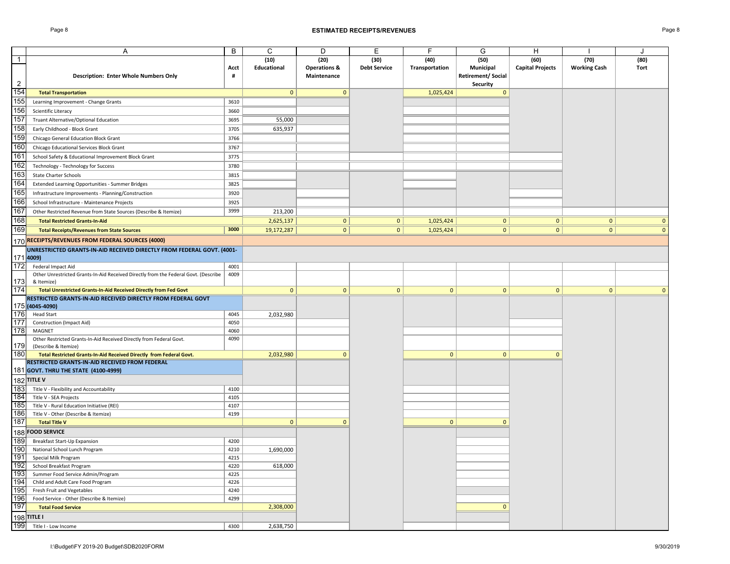### Page 8 **ESTIMATED RECEIPTS/REVENUES** Page 8

|                  | Α                                                                                           | B            | C            | D                       | Е                   | F              | G                        | Н                       |                     | J            |
|------------------|---------------------------------------------------------------------------------------------|--------------|--------------|-------------------------|---------------------|----------------|--------------------------|-------------------------|---------------------|--------------|
| $\mathbf{1}$     |                                                                                             |              | (10)         | (20)                    | (30)                | (40)           | (50)                     | (60)                    | (70)                | (80)         |
|                  |                                                                                             | Acct         | Educational  | <b>Operations &amp;</b> | <b>Debt Service</b> | Transportation | Municipal                | <b>Capital Projects</b> | <b>Working Cash</b> | Tort         |
|                  | Description: Enter Whole Numbers Only                                                       | #            |              | Maintenance             |                     |                | <b>Retirement/Social</b> |                         |                     |              |
| $\overline{2}$   |                                                                                             |              |              |                         |                     |                | Security                 |                         |                     |              |
| 154              | <b>Total Transportation</b>                                                                 |              | $\mathbf{0}$ | $\mathbf{0}$            |                     | 1,025,424      | $\mathbf{0}$             |                         |                     |              |
| 155              | Learning Improvement - Change Grants                                                        | 3610         |              |                         |                     |                |                          |                         |                     |              |
| 156              | Scientific Literacy                                                                         | 3660         |              |                         |                     |                |                          |                         |                     |              |
| 157              | Truant Alternative/Optional Education                                                       | 3695         | 55,000       |                         |                     |                |                          |                         |                     |              |
| 158              | Early Childhood - Block Grant                                                               | 3705         | 635,937      |                         |                     |                |                          |                         |                     |              |
| 159              | Chicago General Education Block Grant                                                       | 3766         |              |                         |                     |                |                          |                         |                     |              |
| 160              | Chicago Educational Services Block Grant                                                    | 3767         |              |                         |                     |                |                          |                         |                     |              |
| 161              | School Safety & Educational Improvement Block Grant                                         | 3775         |              |                         |                     |                |                          |                         |                     |              |
| 162              | Technology - Technology for Success                                                         | 3780         |              |                         |                     |                |                          |                         |                     |              |
| 163              | <b>State Charter Schools</b>                                                                | 3815         |              |                         |                     |                |                          |                         |                     |              |
| 164              | Extended Learning Opportunities - Summer Bridges                                            | 3825         |              |                         |                     |                |                          |                         |                     |              |
| 165              | Infrastructure Improvements - Planning/Construction                                         | 3920         |              |                         |                     |                |                          |                         |                     |              |
| 166              | School Infrastructure - Maintenance Projects                                                | 3925         |              |                         |                     |                |                          |                         |                     |              |
| 167              | Other Restricted Revenue from State Sources (Describe & Itemize)                            | 3999         | 213,200      |                         |                     |                |                          |                         |                     |              |
| 168              | <b>Total Restricted Grants-In-Aid</b>                                                       |              | 2,625,137    | $\mathbf{0}$            | 0                   | 1,025,424      | 0                        | 0                       | $\mathbf{0}$        | $\mathbf 0$  |
| 169              | <b>Total Receipts/Revenues from State Sources</b>                                           | 3000         | 19,172,287   | $\mathbf{0}$            | $\overline{0}$      | 1,025,424      | $\overline{0}$           | 0                       | $\mathbf{0}$        | $\mathbf{0}$ |
|                  |                                                                                             |              |              |                         |                     |                |                          |                         |                     |              |
|                  | 170 RECEIPTS/REVENUES FROM FEDERAL SOURCES (4000)                                           |              |              |                         |                     |                |                          |                         |                     |              |
|                  | UNRESTRICTED GRANTS-IN-AID RECEIVED DIRECTLY FROM FEDERAL GOVT. (4001-                      |              |              |                         |                     |                |                          |                         |                     |              |
| 171 4009)<br>172 | Federal Impact Aid                                                                          |              |              |                         |                     |                |                          |                         |                     |              |
|                  | Other Unrestricted Grants-In-Aid Received Directly from the Federal Govt. (Describe         | 4001<br>4009 |              |                         |                     |                |                          |                         |                     |              |
| 173              | & Itemize)                                                                                  |              |              |                         |                     |                |                          |                         |                     |              |
| 174              | Total Unrestricted Grants-In-Aid Received Directly from Fed Govt                            |              | $\mathbf{0}$ | $\mathbf{0}$            | $\mathbf{0}$        | $\mathbf{0}$   | $\mathbf{0}$             | $\mathbf{0}$            | $\mathbf{0}$        | $\mathbf{0}$ |
|                  | RESTRICTED GRANTS-IN-AID RECEIVED DIRECTLY FROM FEDERAL GOVT                                |              |              |                         |                     |                |                          |                         |                     |              |
|                  | 175 (4045-4090)                                                                             |              |              |                         |                     |                |                          |                         |                     |              |
| 176              | <b>Head Start</b>                                                                           | 4045         | 2,032,980    |                         |                     |                |                          |                         |                     |              |
| 177              | Construction (Impact Aid)                                                                   | 4050         |              |                         |                     |                |                          |                         |                     |              |
| 178              | MAGNET                                                                                      | 4060         |              |                         |                     |                |                          |                         |                     |              |
| 179              | Other Restricted Grants-In-Aid Received Directly from Federal Govt.                         | 4090         |              |                         |                     |                |                          |                         |                     |              |
| 180              | (Describe & Itemize)<br>Total Restricted Grants-In-Aid Received Directly from Federal Govt. |              | 2,032,980    | $\mathbf{0}$            |                     | $\mathbf{0}$   | $\mathbf{0}$             | $\mathbf{0}$            |                     |              |
|                  | RESTRICTED GRANTS-IN-AID RECEIVED FROM FEDERAL                                              |              |              |                         |                     |                |                          |                         |                     |              |
|                  | 181 GOVT. THRU THE STATE (4100-4999)                                                        |              |              |                         |                     |                |                          |                         |                     |              |
|                  | 182 TITLE V                                                                                 |              |              |                         |                     |                |                          |                         |                     |              |
| 183              | Title V - Flexibility and Accountability                                                    | 4100         |              |                         |                     |                |                          |                         |                     |              |
| 184              | Title V - SEA Projects                                                                      | 4105         |              |                         |                     |                |                          |                         |                     |              |
| 185              | Title V - Rural Education Initiative (REI)                                                  | 4107         |              |                         |                     |                |                          |                         |                     |              |
| 186              | Title V - Other (Describe & Itemize)                                                        | 4199         |              |                         |                     |                |                          |                         |                     |              |
| 187              | <b>Total Title V</b>                                                                        |              | $\mathbf{0}$ | $\Omega$                |                     | $\mathbf{0}$   | $\Omega$                 |                         |                     |              |
|                  | 188 FOOD SERVICE                                                                            |              |              |                         |                     |                |                          |                         |                     |              |
| 189              | Breakfast Start-Up Expansion                                                                | 4200         |              |                         |                     |                |                          |                         |                     |              |
| 190              | National School Lunch Program                                                               | 4210         | 1,690,000    |                         |                     |                |                          |                         |                     |              |
| 191              | Special Milk Program                                                                        | 4215         |              |                         |                     |                |                          |                         |                     |              |
| 192              | School Breakfast Program                                                                    | 4220         | 618,000      |                         |                     |                |                          |                         |                     |              |
| 193              | Summer Food Service Admin/Program                                                           | 4225         |              |                         |                     |                |                          |                         |                     |              |
| 194              | Child and Adult Care Food Program                                                           | 4226         |              |                         |                     |                |                          |                         |                     |              |
| 195              | Fresh Fruit and Vegetables                                                                  | 4240         |              |                         |                     |                |                          |                         |                     |              |
| 196              | Food Service - Other (Describe & Itemize)                                                   | 4299         |              |                         |                     |                |                          |                         |                     |              |
| 197              | <b>Total Food Service</b>                                                                   |              | 2,308,000    |                         |                     |                | $\mathbf{0}$             |                         |                     |              |
|                  | 198 TITLE I                                                                                 |              |              |                         |                     |                |                          |                         |                     |              |
| 199              | Title I - Low Income                                                                        | 4300         | 2,638,750    |                         |                     |                |                          |                         |                     |              |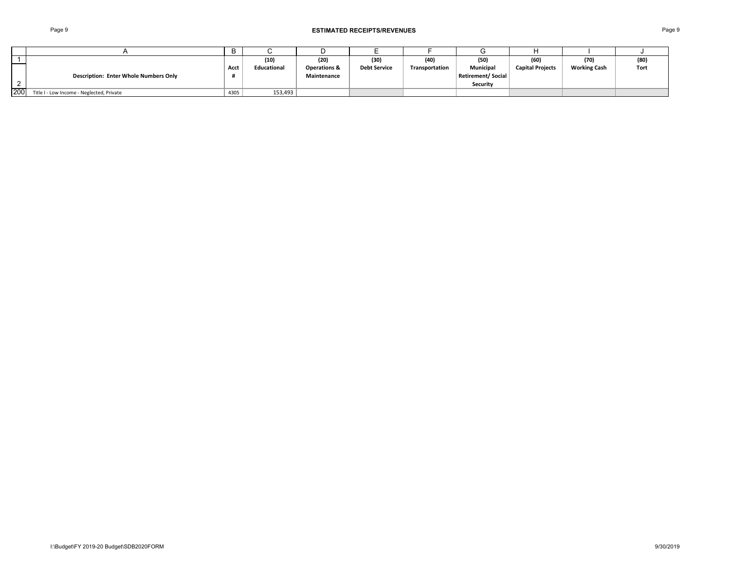|     |                                              |      | (10)               | (20)                                   | (30)                | (40)           | (50)                                  | (60)                    | (70)                | (80) |
|-----|----------------------------------------------|------|--------------------|----------------------------------------|---------------------|----------------|---------------------------------------|-------------------------|---------------------|------|
|     | <b>Description: Enter Whole Numbers Only</b> | Acct | <b>Educational</b> | <b>Operations &amp;</b><br>Maintenance | <b>Debt Service</b> | Transportation | <b>Municipal</b><br>Retirement/Social | <b>Capital Projects</b> | <b>Working Cash</b> | Tort |
|     |                                              |      |                    |                                        |                     |                | <b>Security</b>                       |                         |                     |      |
| 200 | Title I - Low Income - Neglected, Private    | 4305 | 153,493            |                                        |                     |                |                                       |                         |                     |      |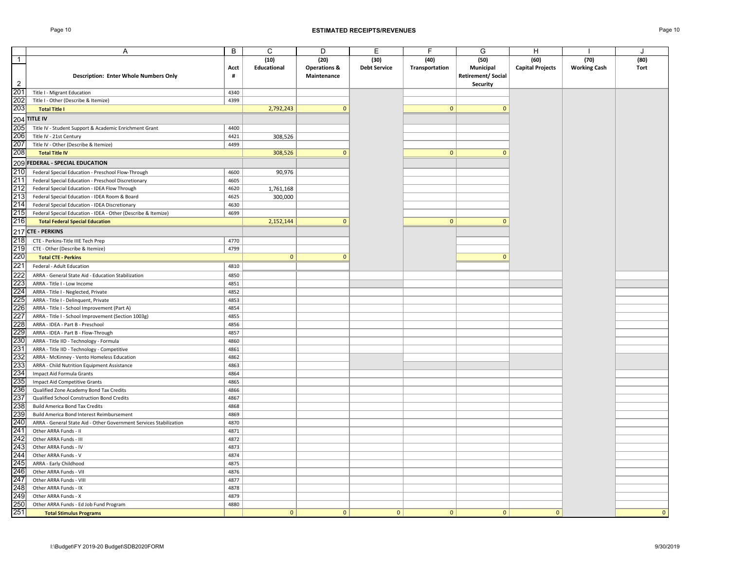|                | Α                                                                  | B         | $\mathsf C$  | D                                      | E                   | F              | G                 | H                       |                     |      |
|----------------|--------------------------------------------------------------------|-----------|--------------|----------------------------------------|---------------------|----------------|-------------------|-------------------------|---------------------|------|
| $\overline{1}$ |                                                                    |           | (10)         | (20)                                   | (30)                | (40)           | (50)              | (60)                    | (70)                | (80) |
|                |                                                                    |           | Educational  |                                        | <b>Debt Service</b> | Transportation | Municipal         | <b>Capital Projects</b> | <b>Working Cash</b> | Tort |
|                | Description: Enter Whole Numbers Only                              | Acct<br># |              | <b>Operations &amp;</b><br>Maintenance |                     |                | Retirement/Social |                         |                     |      |
| $\overline{2}$ |                                                                    |           |              |                                        |                     |                |                   |                         |                     |      |
|                |                                                                    | 4340      |              |                                        |                     |                | Security          |                         |                     |      |
| 201            | Title I - Migrant Education                                        |           |              |                                        |                     |                |                   |                         |                     |      |
| 202            | Title I - Other (Describe & Itemize)                               | 4399      |              |                                        |                     |                |                   |                         |                     |      |
| 203            | <b>Total Title I</b>                                               |           | 2,792,243    | $\mathbf{0}$                           |                     | $\mathbf{0}$   | $\mathbf{0}$      |                         |                     |      |
|                | $204$ TITLE IV                                                     |           |              |                                        |                     |                |                   |                         |                     |      |
| 205            | Title IV - Student Support & Academic Enrichment Grant             | 4400      |              |                                        |                     |                |                   |                         |                     |      |
| 206            | Title IV - 21st Century                                            | 4421      | 308,526      |                                        |                     |                |                   |                         |                     |      |
| 207            | Title IV - Other (Describe & Itemize)                              | 4499      |              |                                        |                     |                |                   |                         |                     |      |
| 208            | <b>Total Title IV</b>                                              |           | 308,526      | $\mathbf{0}$                           |                     | $\mathbf{0}$   | $\mathbf{0}$      |                         |                     |      |
|                | 209 FEDERAL - SPECIAL EDUCATION                                    |           |              |                                        |                     |                |                   |                         |                     |      |
| 210            | Federal Special Education - Preschool Flow-Through                 | 4600      | 90,976       |                                        |                     |                |                   |                         |                     |      |
| 211            | Federal Special Education - Preschool Discretionary                | 4605      |              |                                        |                     |                |                   |                         |                     |      |
| 212            | Federal Special Education - IDEA Flow Through                      | 4620      | 1,761,168    |                                        |                     |                |                   |                         |                     |      |
| 213            | Federal Special Education - IDEA Room & Board                      | 4625      | 300,000      |                                        |                     |                |                   |                         |                     |      |
| 214            | Federal Special Education - IDEA Discretionary                     | 4630      |              |                                        |                     |                |                   |                         |                     |      |
| 215            | Federal Special Education - IDEA - Other (Describe & Itemize)      | 4699      |              |                                        |                     |                |                   |                         |                     |      |
| 216            |                                                                    |           | 2,152,144    | $\mathbf{0}$                           |                     | $\mathbf{0}$   | $\Omega$          |                         |                     |      |
|                | <b>Total Federal Special Education</b>                             |           |              |                                        |                     |                |                   |                         |                     |      |
|                | 217 CTE - PERKINS                                                  |           |              |                                        |                     |                |                   |                         |                     |      |
| 218            | CTE - Perkins-Title IIIE Tech Prep                                 | 4770      |              |                                        |                     |                |                   |                         |                     |      |
| 219            | CTE - Other (Describe & Itemize)                                   | 4799      |              |                                        |                     |                |                   |                         |                     |      |
| 220            | <b>Total CTE - Perkins</b>                                         |           | $\mathbf{0}$ | $\mathbf{0}$                           |                     |                | $\mathbf{0}$      |                         |                     |      |
| 221            | Federal - Adult Education                                          | 4810      |              |                                        |                     |                |                   |                         |                     |      |
| 222            | ARRA - General State Aid - Education Stabilization                 | 4850      |              |                                        |                     |                |                   |                         |                     |      |
| 223            | ARRA - Title I - Low Income                                        | 4851      |              |                                        |                     |                |                   |                         |                     |      |
| 224            | ARRA - Title I - Neglected, Private                                | 4852      |              |                                        |                     |                |                   |                         |                     |      |
| 225            | ARRA - Title I - Delinquent, Private                               | 4853      |              |                                        |                     |                |                   |                         |                     |      |
| 226            | ARRA - Title I - School Improvement (Part A)                       | 4854      |              |                                        |                     |                |                   |                         |                     |      |
| 227            | ARRA - Title I - School Improvement (Section 1003g)                | 4855      |              |                                        |                     |                |                   |                         |                     |      |
| 228            | ARRA - IDEA - Part B - Preschool                                   | 4856      |              |                                        |                     |                |                   |                         |                     |      |
| 229            | ARRA - IDEA - Part B - Flow-Through                                | 4857      |              |                                        |                     |                |                   |                         |                     |      |
| 230            | ARRA - Title IID - Technology - Formula                            | 4860      |              |                                        |                     |                |                   |                         |                     |      |
| 231            | ARRA - Title IID - Technology - Competitive                        | 4861      |              |                                        |                     |                |                   |                         |                     |      |
| 232            | ARRA - McKinney - Vento Homeless Education                         | 4862      |              |                                        |                     |                |                   |                         |                     |      |
| 233            | ARRA - Child Nutrition Equipment Assistance                        | 4863      |              |                                        |                     |                |                   |                         |                     |      |
| 234            | Impact Aid Formula Grants                                          | 4864      |              |                                        |                     |                |                   |                         |                     |      |
| 235            | Impact Aid Competitive Grants                                      | 4865      |              |                                        |                     |                |                   |                         |                     |      |
| 236            | Qualified Zone Academy Bond Tax Credits                            | 4866      |              |                                        |                     |                |                   |                         |                     |      |
| 237            | Qualified School Construction Bond Credits                         | 4867      |              |                                        |                     |                |                   |                         |                     |      |
| 238            | <b>Build America Bond Tax Credits</b>                              | 4868      |              |                                        |                     |                |                   |                         |                     |      |
| 239            | Build America Bond Interest Reimbursement                          | 4869      |              |                                        |                     |                |                   |                         |                     |      |
| 240            | ARRA - General State Aid - Other Government Services Stabilization | 4870      |              |                                        |                     |                |                   |                         |                     |      |
| 241            | Other ARRA Funds - II                                              | 4871      |              |                                        |                     |                |                   |                         |                     |      |
| 242            | Other ARRA Funds - III                                             | 4872      |              |                                        |                     |                |                   |                         |                     |      |
| 243            | Other ARRA Funds - IV                                              | 4873      |              |                                        |                     |                |                   |                         |                     |      |
| 244            | Other ARRA Funds - V                                               | 4874      |              |                                        |                     |                |                   |                         |                     |      |
| 245            | ARRA - Early Childhood                                             | 4875      |              |                                        |                     |                |                   |                         |                     |      |
| 246            | Other ARRA Funds - VII                                             | 4876      |              |                                        |                     |                |                   |                         |                     |      |
| 247            | Other ARRA Funds - VIII                                            | 4877      |              |                                        |                     |                |                   |                         |                     |      |
| 248            | Other ARRA Funds - IX                                              | 4878      |              |                                        |                     |                |                   |                         |                     |      |
| 249            | Other ARRA Funds - X                                               | 4879      |              |                                        |                     |                |                   |                         |                     |      |
| 250            | Other ARRA Funds - Ed Job Fund Program                             | 4880      |              |                                        |                     |                |                   |                         |                     |      |
| 251            | <b>Total Stimulus Programs</b>                                     |           | $\mathbf{0}$ | $\mathbf{0}$                           | $\mathbf{0}$        | $\mathbf{0}$   | $\mathbf{0}$      | $\mathbf{0}$            |                     |      |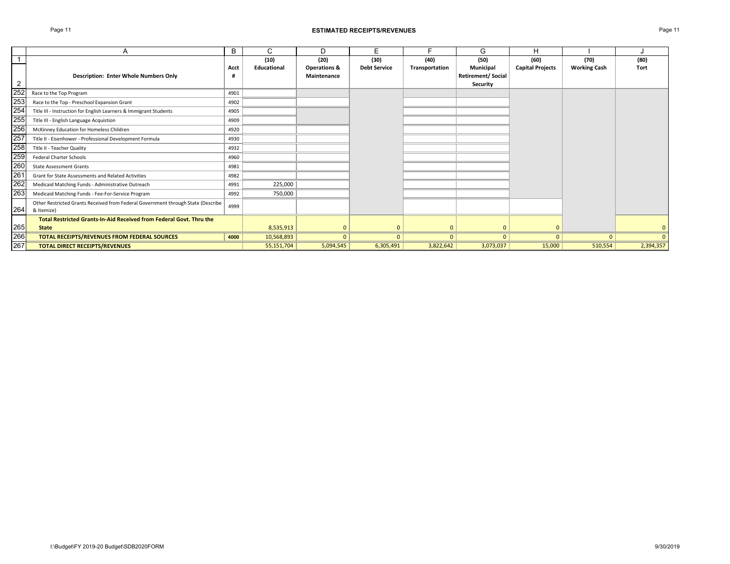### Page 11 **ESTIMATED RECEIPTS/REVENUES** Page 11

|                |                                                                                  | B    | С           | D            | F                   |                | G                        | п                       |                     |              |
|----------------|----------------------------------------------------------------------------------|------|-------------|--------------|---------------------|----------------|--------------------------|-------------------------|---------------------|--------------|
|                |                                                                                  |      | (10)        | (20)         | (30)                | (40)           | (50)                     | (60)                    | (70)                | (80)         |
|                |                                                                                  | Acct | Educational | Operations & | <b>Debt Service</b> | Transportation | Municipal                | <b>Capital Projects</b> | <b>Working Cash</b> | <b>Tort</b>  |
|                | <b>Description: Enter Whole Numbers Only</b>                                     | Ħ    |             | Maintenance  |                     |                | <b>Retirement/Social</b> |                         |                     |              |
| $\overline{2}$ |                                                                                  |      |             |              |                     |                | Security                 |                         |                     |              |
| 252            | Race to the Top Program                                                          | 4901 |             |              |                     |                |                          |                         |                     |              |
| 253            | Race to the Top - Preschool Expansion Grant                                      | 4902 |             |              |                     |                |                          |                         |                     |              |
| 254            | Title III - Instruction for English Learners & Immigrant Students                | 4905 |             |              |                     |                |                          |                         |                     |              |
| 255            | Title III - English Language Acquistion                                          | 4909 |             |              |                     |                |                          |                         |                     |              |
| 256            | McKinney Education for Homeless Children                                         | 4920 |             |              |                     |                |                          |                         |                     |              |
| 257            | Title II - Eisenhower - Professional Development Formula                         | 4930 |             |              |                     |                |                          |                         |                     |              |
| 258            | Title II - Teacher Quality                                                       | 4932 |             |              |                     |                |                          |                         |                     |              |
| 259<br>260     | Federal Charter Schools                                                          | 4960 |             |              |                     |                |                          |                         |                     |              |
|                | <b>State Assessment Grants</b>                                                   | 4981 |             |              |                     |                |                          |                         |                     |              |
| 261            | Grant for State Assessments and Related Activities                               | 4982 |             |              |                     |                |                          |                         |                     |              |
| 262            | Medicaid Matching Funds - Administrative Outreach                                | 4991 | 225,000     |              |                     |                |                          |                         |                     |              |
| 263            | Medicaid Matching Funds - Fee-For-Service Program                                | 4992 | 750,000     |              |                     |                |                          |                         |                     |              |
|                | Other Restricted Grants Received from Federal Government through State (Describe | 4999 |             |              |                     |                |                          |                         |                     |              |
| 264            | & Itemize)                                                                       |      |             |              |                     |                |                          |                         |                     |              |
|                | Total Restricted Grants-In-Aid Received from Federal Govt. Thru the              |      |             |              |                     |                |                          |                         |                     |              |
| 265            | <b>State</b>                                                                     |      | 8,535,913   |              | $\Omega$            | $\mathbf{0}$   |                          | $\mathbf{0}$            |                     | $\mathbf{0}$ |
| 266            | TOTAL RECEIPTS/REVENUES FROM FEDERAL SOURCES                                     | 4000 | 10,568,893  |              | $\Omega$            | $\Omega$       | $\Omega$                 | $\Omega$                | $\Omega$            | $\Omega$     |
| 267            | <b>TOTAL DIRECT RECEIPTS/REVENUES</b>                                            |      | 55,151,704  | 5,094,545    | 6,305,491           | 3,822,642      | 3,073,037                | 15,000                  | 510,554             | 2,394,357    |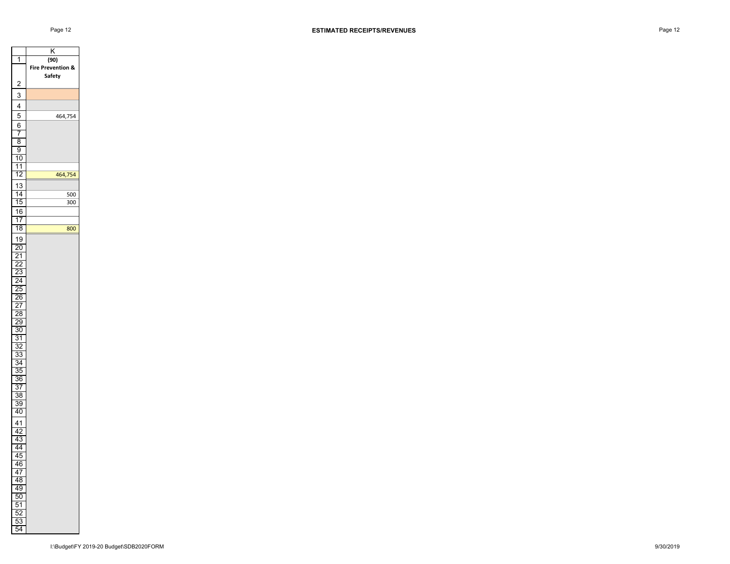300

800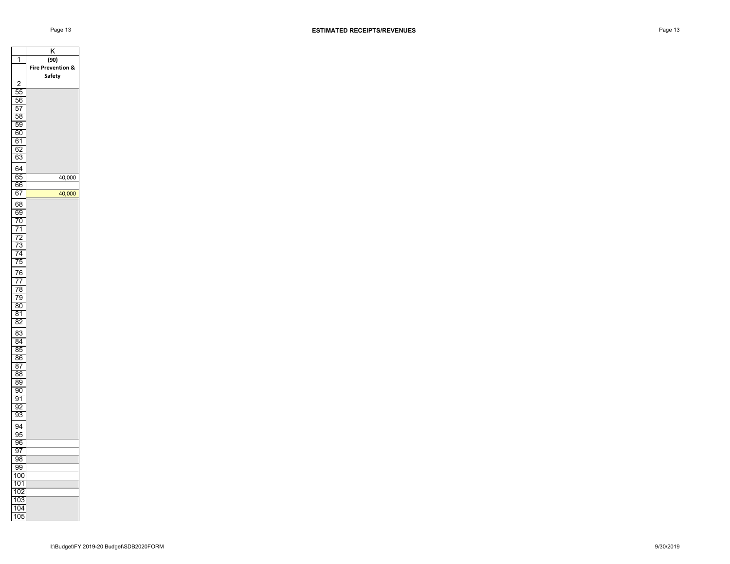|                       | Κ                            |
|-----------------------|------------------------------|
| 1                     | (90)                         |
|                       | <b>Fire Prevention &amp;</b> |
|                       | Safety                       |
| 2                     |                              |
| 55                    |                              |
| 56                    |                              |
| 57                    |                              |
| 58                    |                              |
| 59<br>60              |                              |
|                       |                              |
| 61<br>62              |                              |
| 63                    |                              |
|                       |                              |
| 64                    |                              |
| 65<br>66              | 40,000                       |
| $6\overline{7}$       | 40,000                       |
|                       |                              |
| 68<br>$\overline{69}$ |                              |
|                       |                              |
| 70<br>$\overline{71}$ |                              |
| 72                    |                              |
| 73                    |                              |
| 74                    |                              |
| 75                    |                              |
| 76                    |                              |
| 77                    |                              |
| 78                    |                              |
| 79                    |                              |
| 80                    |                              |
| 81                    |                              |
| 82                    |                              |
| 83                    |                              |
| 84                    |                              |
| 85                    |                              |
| 86                    |                              |
| 87                    |                              |
| 88                    |                              |
| 89                    |                              |
| 90                    |                              |
| 91                    |                              |
| 92<br>$\overline{93}$ |                              |
|                       |                              |
| 94                    |                              |
| 95                    |                              |
| $\overline{96}$<br>97 |                              |
| 98                    |                              |
| 99                    |                              |
| 100                   |                              |
| 101                   |                              |
| 10:<br>2              |                              |
| 103                   |                              |
| 104                   |                              |
| 105                   |                              |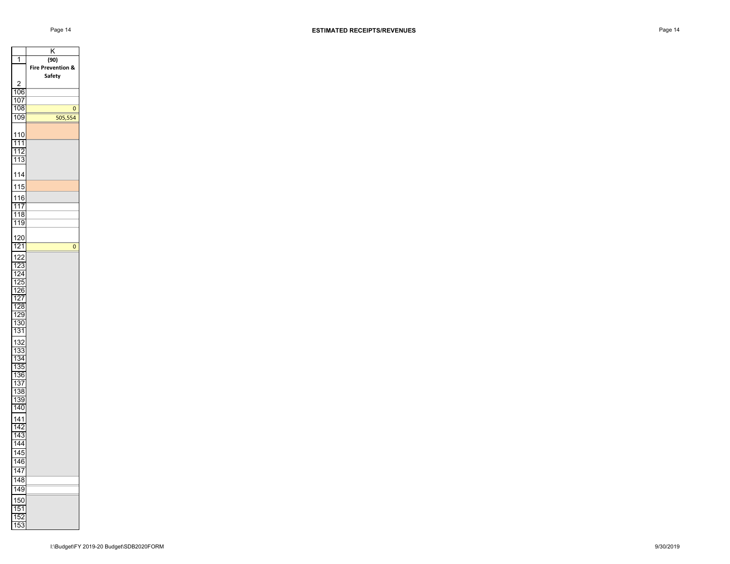$\overline{0}$ 

0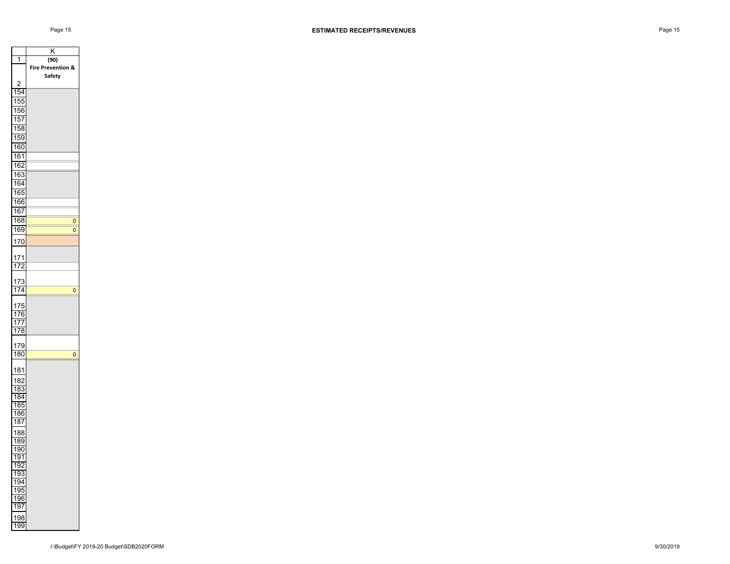

0 0

0

0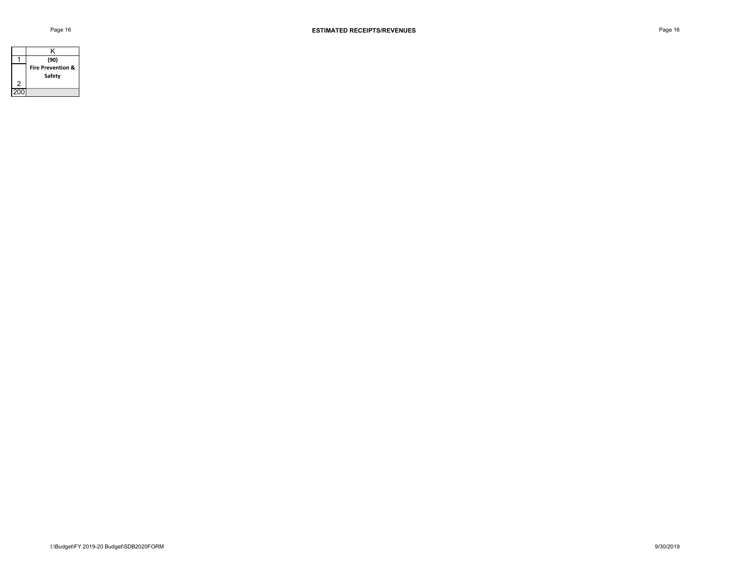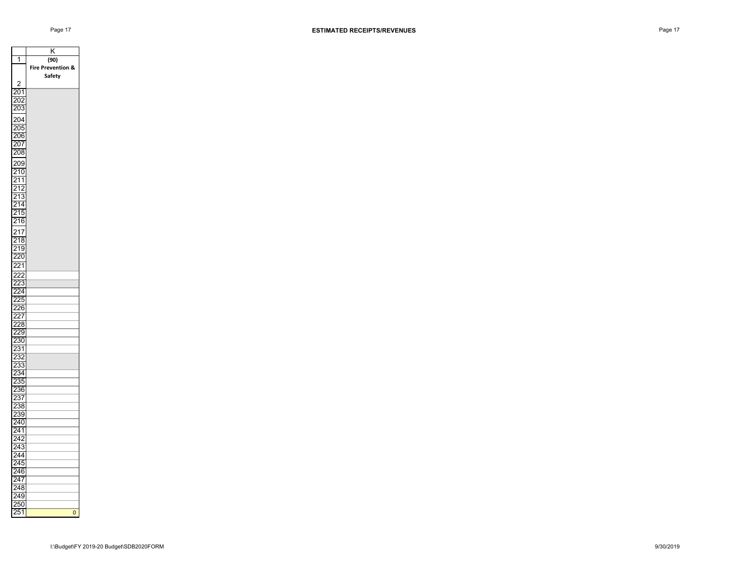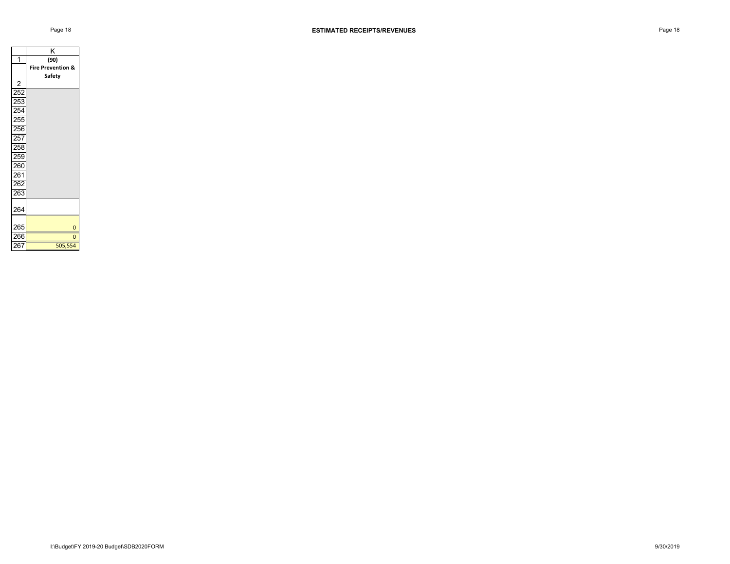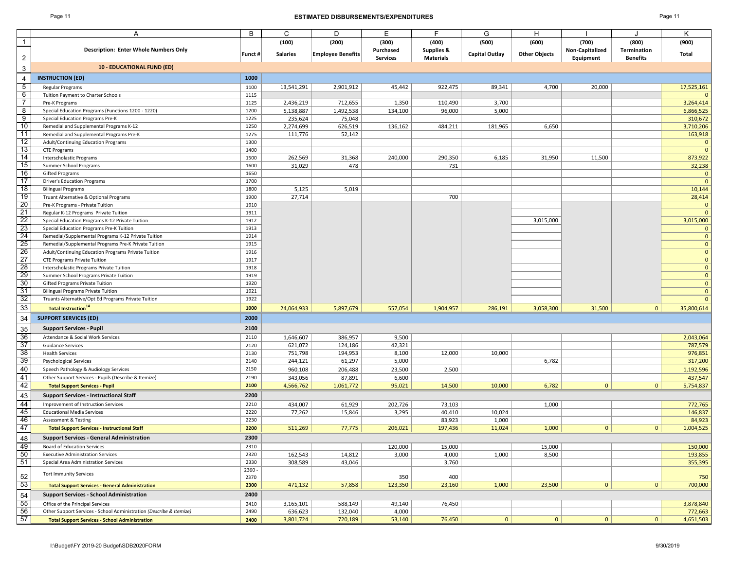### Page 11 **ESTIMATED DISBURSEMENTS/EXPENDITURES** Page 11

|                 | A                                                                                                           | В            | C               | D                        | Е               | F                     | G              | Н                    |                 |                 | Κ                       |
|-----------------|-------------------------------------------------------------------------------------------------------------|--------------|-----------------|--------------------------|-----------------|-----------------------|----------------|----------------------|-----------------|-----------------|-------------------------|
| $\mathbf{1}$    |                                                                                                             |              | (100)           | (200)                    | (300)           | (400)                 | (500)          | (600)                | (700)           | (800)           | (900)                   |
|                 | <b>Description: Enter Whole Numbers Only</b>                                                                |              |                 |                          | Purchased       | <b>Supplies &amp;</b> |                | <b>Other Objects</b> | Non-Capitalized | Termination     | Total                   |
|                 |                                                                                                             | Funct #      | <b>Salaries</b> | <b>Employee Benefits</b> | <b>Services</b> | <b>Materials</b>      | Capital Outlay |                      | Equipment       | <b>Benefits</b> |                         |
| $\overline{3}$  | <b>10 - EDUCATIONAL FUND (ED)</b>                                                                           |              |                 |                          |                 |                       |                |                      |                 |                 |                         |
| 4               | <b>INSTRUCTION (ED)</b>                                                                                     | 1000         |                 |                          |                 |                       |                |                      |                 |                 |                         |
| 5               | Regular Programs                                                                                            | 1100         | 13,541,291      | 2,901,912                | 45,442          | 922,475               | 89,341         | 4,700                | 20,000          |                 | 17,525,161              |
| 6               | Tuition Payment to Charter Schools                                                                          | 1115         |                 |                          |                 |                       |                |                      |                 |                 |                         |
| 7               | Pre-K Programs                                                                                              | 1125         | 2,436,219       | 712,655                  | 1,350           | 110,490               | 3,700          |                      |                 |                 | 3,264,414               |
| 8               | Special Education Programs (Functions 1200 - 1220)                                                          | 1200         | 5,138,887       | 1,492,538                | 134,100         | 96,000                | 5,000          |                      |                 |                 | 6,866,525               |
| 9               | Special Education Programs Pre-K                                                                            | 1225         | 235,624         | 75,048                   |                 |                       |                |                      |                 |                 | 310,672                 |
| 10<br>11        | Remedial and Supplemental Programs K-12                                                                     | 1250<br>1275 | 2,274,699       | 626,519                  | 136,162         | 484,211               | 181,965        | 6,650                |                 |                 | 3,710,206               |
| 12              | Remedial and Supplemental Programs Pre-K<br>Adult/Continuing Education Programs                             | 1300         | 111,776         | 52,142                   |                 |                       |                |                      |                 |                 | 163,918<br>$\mathbf{0}$ |
| 13              | <b>CTE Programs</b>                                                                                         | 1400         |                 |                          |                 |                       |                |                      |                 |                 | $\overline{0}$          |
| 14              | <b>Interscholastic Programs</b>                                                                             | 1500         | 262,569         | 31,368                   | 240,000         | 290,350               | 6,185          | 31,950               | 11,500          |                 | 873,922                 |
| 15              | Summer School Programs                                                                                      | 1600         | 31,029          | 478                      |                 | 731                   |                |                      |                 |                 | 32,238                  |
| 16              | <b>Gifted Programs</b>                                                                                      | 1650         |                 |                          |                 |                       |                |                      |                 |                 | $\mathbf 0$             |
| 17              | <b>Driver's Education Programs</b>                                                                          | 1700         |                 |                          |                 |                       |                |                      |                 |                 | $\overline{0}$          |
| 18              | <b>Bilingual Programs</b>                                                                                   | 1800         | 5,125           | 5,019                    |                 |                       |                |                      |                 |                 | 10,144                  |
| 19              | Truant Alternative & Optional Programs                                                                      | 1900         | 27,714          |                          |                 | 700                   |                |                      |                 |                 | 28,414                  |
| 20              | Pre-K Programs - Private Tuition                                                                            | 1910         |                 |                          |                 |                       |                |                      |                 |                 | $\mathbf 0$             |
| 21              | Regular K-12 Programs Private Tuition                                                                       | 1911         |                 |                          |                 |                       |                |                      |                 |                 | $\Omega$                |
| $\overline{22}$ | Special Education Programs K-12 Private Tuition                                                             | 1912         |                 |                          |                 |                       |                | 3,015,000            |                 |                 | 3,015,000               |
| 23              | Special Education Programs Pre-K Tuition                                                                    | 1913         |                 |                          |                 |                       |                |                      |                 |                 | $\Omega$                |
| 24<br>25        | Remedial/Supplemental Programs K-12 Private Tuition                                                         | 1914<br>1915 |                 |                          |                 |                       |                |                      |                 |                 | $\Omega$                |
| 26              | Remedial/Supplemental Programs Pre-K Private Tuition<br>Adult/Continuing Education Programs Private Tuition | 1916         |                 |                          |                 |                       |                |                      |                 |                 | $\overline{0}$          |
| 27              | <b>CTE Programs Private Tuition</b>                                                                         | 1917         |                 |                          |                 |                       |                |                      |                 |                 | $\mathbf 0$             |
| 28              | Interscholastic Programs Private Tuition                                                                    | 1918         |                 |                          |                 |                       |                |                      |                 |                 | $\overline{0}$          |
| 29              | Summer School Programs Private Tuition                                                                      | 1919         |                 |                          |                 |                       |                |                      |                 |                 | $\mathbf 0$             |
| 30              | Gifted Programs Private Tuition                                                                             | 1920         |                 |                          |                 |                       |                |                      |                 |                 | $\Omega$                |
| 31              | <b>Bilingual Programs Private Tuition</b>                                                                   | 1921         |                 |                          |                 |                       |                |                      |                 |                 | $\overline{0}$          |
| 32              | Truants Alternative/Opt Ed Programs Private Tuition                                                         | 1922         |                 |                          |                 |                       |                |                      |                 |                 | $\overline{0}$          |
| 33              | <b>Total Instruction</b> <sup>14</sup>                                                                      | 1000         | 24,064,933      | 5,897,679                | 557,054         | 1,904,957             | 286,191        | 3,058,300            | 31,500          | $\mathbf{0}$    | 35,800,614              |
| 34              | <b>SUPPORT SERVICES (ED)</b>                                                                                | 2000         |                 |                          |                 |                       |                |                      |                 |                 |                         |
| 35              | <b>Support Services - Pupil</b>                                                                             | 2100         |                 |                          |                 |                       |                |                      |                 |                 |                         |
| 36              | Attendance & Social Work Services                                                                           | 2110         | 1,646,607       | 386,957                  | 9,500           |                       |                |                      |                 |                 | 2,043,064               |
| $\overline{37}$ | <b>Guidance Services</b>                                                                                    | 2120         | 621,072         | 124,186                  | 42,321          |                       |                |                      |                 |                 | 787,579                 |
| 38              | <b>Health Services</b>                                                                                      | 2130         | 751,798         | 194,953                  | 8,100           | 12,000                | 10,000         |                      |                 |                 | 976,851                 |
| 39              | <b>Psychological Services</b>                                                                               | 2140         | 244,121         | 61,297                   | 5,000           |                       |                | 6,782                |                 |                 | 317,200                 |
| 40              | Speech Pathology & Audiology Services                                                                       | 2150         | 960,108         | 206,488                  | 23,500          | 2,500                 |                |                      |                 |                 | 1,192,596               |
| 41              | Other Support Services - Pupils (Describe & Itemize)                                                        | 2190         | 343,056         | 87,891                   | 6,600           |                       |                |                      |                 |                 | 437,547                 |
| 42              | <b>Total Support Services - Pupil</b>                                                                       | 2100         | 4,566,762       | 1,061,772                | 95,021          | 14,500                | 10,000         | 6,782                | $\mathbf{0}$    | $\mathbf{0}$    | 5,754,837               |
| 43              | <b>Support Services - Instructional Staff</b>                                                               | 2200         |                 |                          |                 |                       |                |                      |                 |                 |                         |
| 44              | Improvement of Instruction Services                                                                         | 2210         | 434,007         | 61,929                   | 202,726         | 73,103                |                | 1,000                |                 |                 | 772,765                 |
| 45              | <b>Educational Media Services</b>                                                                           | 2220         | 77,262          | 15,846                   | 3,295           | 40,410                | 10,024         |                      |                 |                 | 146,837                 |
| 46              | Assessment & Testing                                                                                        | 2230         |                 |                          |                 | 83,923                | 1,000          |                      |                 |                 | 84,923                  |
| 47              | <b>Total Support Services - Instructional Staff</b>                                                         | 2200         | 511,269         | 77,775                   | 206,021         | 197,436               | 11,024         | 1,000                | 0               | $\mathbf{0}$    | 1,004,525               |
| 48              | <b>Support Services - General Administration</b>                                                            | 2300         |                 |                          |                 |                       |                |                      |                 |                 |                         |
| 49              | Board of Education Services                                                                                 | 2310         |                 |                          | 120,000         | 15,000                |                | 15,000               |                 |                 | 150,000                 |
| 50              | <b>Executive Administration Services</b>                                                                    | 2320         | 162,543         | 14,812                   | 3,000           | 4,000                 | 1,000          | 8,500                |                 |                 | 193,855                 |
| 51              | Special Area Administration Services                                                                        | 2330         | 308,589         | 43,046                   |                 | 3,760                 |                |                      |                 |                 | 355,395                 |
|                 | <b>Tort Immunity Services</b>                                                                               | $2360 -$     |                 |                          |                 |                       |                |                      |                 |                 |                         |
| 52              |                                                                                                             | 2370         |                 |                          | 350             | 400                   |                |                      |                 |                 | 750                     |
| $\frac{53}{2}$  | <b>Total Support Services - General Administration</b>                                                      | 2300         | 471,132         | 57,858                   | 123,350         | 23,160                | 1,000          | 23,500               | 0               | 0               | 700,000                 |
| $\frac{54}{55}$ | <b>Support Services - School Administration</b>                                                             | 2400         |                 |                          |                 |                       |                |                      |                 |                 |                         |
|                 | Office of the Principal Services                                                                            | 2410         | 3,165,101       | 588,149                  | 49,140          | 76,450                |                |                      |                 |                 | 3,878,840               |
| 56              | Other Support Services - School Administration (Describe & Itemize)                                         | 2490         | 636,623         | 132,040                  | 4,000           |                       |                |                      |                 |                 | 772,663                 |
| 57              | <b>Total Support Services - School Administration</b>                                                       | 2400         | 3,801,724       | 720,189                  | 53,140          | 76,450                | 0              | 0                    | 0               | 0               | 4,651,503               |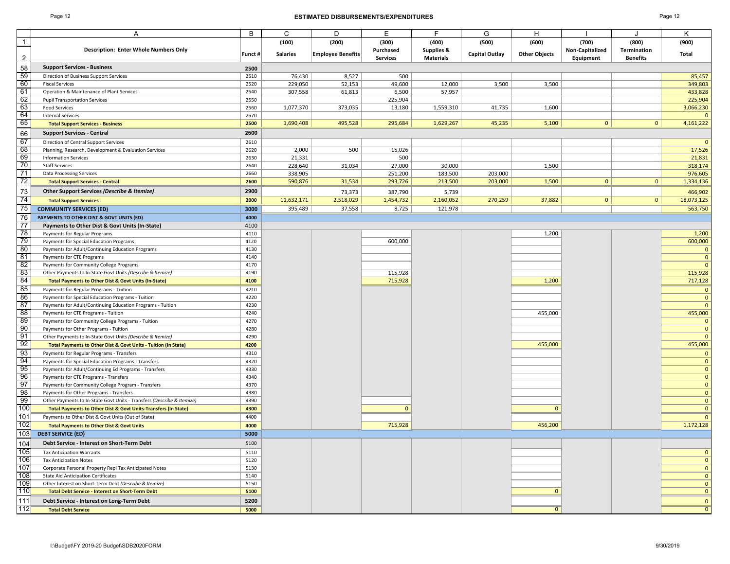### Page 12 **ESTIMATED DISBURSEMENTS/EXPENDITURES** Page 12

|                | A                                                                         | В       | C               | D                        | Е               | F                     | G              | н                    |                 |                 | Κ              |
|----------------|---------------------------------------------------------------------------|---------|-----------------|--------------------------|-----------------|-----------------------|----------------|----------------------|-----------------|-----------------|----------------|
| $\overline{1}$ |                                                                           |         | (100)           | (200)                    | (300)           | (400)                 | (500)          | (600)                | (700)           | (800)           | (900)          |
|                | <b>Description: Enter Whole Numbers Only</b>                              |         |                 |                          | Purchased       | <b>Supplies &amp;</b> |                |                      | Non-Capitalized | Termination     |                |
| $\overline{2}$ |                                                                           | Funct # | <b>Salaries</b> | <b>Employee Benefits</b> | <b>Services</b> | <b>Materials</b>      | Capital Outlay | <b>Other Objects</b> | Equipment       | <b>Benefits</b> | Total          |
| 58             | <b>Support Services - Business</b>                                        | 2500    |                 |                          |                 |                       |                |                      |                 |                 |                |
| 59             | Direction of Business Support Services                                    | 2510    | 76,430          | 8,527                    | 500             |                       |                |                      |                 |                 | 85,457         |
| 60             | <b>Fiscal Services</b>                                                    | 2520    | 229,050         | 52,153                   | 49,600          | 12,000                | 3,500          | 3,500                |                 |                 | 349,803        |
| 61             | Operation & Maintenance of Plant Services                                 | 2540    | 307,558         | 61,813                   | 6,500           | 57,957                |                |                      |                 |                 | 433,828        |
| 62             | <b>Pupil Transportation Services</b>                                      | 2550    |                 |                          | 225,904         |                       |                |                      |                 |                 | 225,904        |
| 63             | <b>Food Services</b>                                                      | 2560    | 1,077,370       | 373,035                  | 13,180          | 1,559,310             | 41,735         | 1,600                |                 |                 | 3,066,230      |
| 64             | <b>Internal Services</b>                                                  | 2570    |                 |                          |                 |                       |                |                      |                 |                 | $\overline{0}$ |
| 65             | <b>Total Support Services - Business</b>                                  | 2500    | 1,690,408       | 495,528                  | 295,684         | 1,629,267             | 45,235         | 5,100                | 0               | 0               | 4,161,222      |
| 66             | <b>Support Services - Central</b>                                         | 2600    |                 |                          |                 |                       |                |                      |                 |                 |                |
| 67             | Direction of Central Support Services                                     | 2610    |                 |                          |                 |                       |                |                      |                 |                 | $\Omega$       |
| 68             | Planning, Research, Development & Evaluation Services                     | 2620    | 2,000           | 500                      | 15,026          |                       |                |                      |                 |                 | 17,526         |
| 69             | <b>Information Services</b>                                               | 2630    | 21,331          |                          | 500             |                       |                |                      |                 |                 | 21,831         |
| 70             | <b>Staff Services</b>                                                     | 2640    | 228,640         | 31,034                   | 27,000          | 30,000                |                | 1,500                |                 |                 | 318,174        |
| 71             | <b>Data Processing Services</b>                                           | 2660    | 338,905         |                          | 251,200         | 183,500               | 203,000        |                      |                 |                 | 976,605        |
| 72             | <b>Total Support Services - Central</b>                                   | 2600    | 590,876         | 31,534                   | 293,726         | 213,500               | 203,000        | 1,500                | $\mathbf{0}$    | $\mathbf{0}$    | 1,334,136      |
| 73             | Other Support Services (Describe & Itemize)                               | 2900    |                 | 73,373                   | 387,790         | 5,739                 |                |                      |                 |                 | 466,902        |
| 74             | <b>Total Support Services</b>                                             | 2000    | 11,632,171      | 2,518,029                | 1,454,732       | 2,160,052             | 270,259        | 37,882               | 0               | 0               | 18,073,125     |
| 75             | <b>COMMUNITY SERVICES (ED)</b>                                            | 3000    | 395,489         | 37,558                   | 8,725           | 121,978               |                |                      |                 |                 | 563,750        |
| 76             | PAYMENTS TO OTHER DIST & GOVT UNITS (ED)                                  | 4000    |                 |                          |                 |                       |                |                      |                 |                 |                |
| 77             | Payments to Other Dist & Govt Units (In-State)                            | 4100    |                 |                          |                 |                       |                |                      |                 |                 |                |
| 78             | Payments for Regular Programs                                             | 4110    |                 |                          |                 |                       |                | 1,200                |                 |                 | 1,200          |
| 79             | Payments for Special Education Programs                                   | 4120    |                 |                          | 600,000         |                       |                |                      |                 |                 | 600,000        |
| 80             | Payments for Adult/Continuing Education Programs                          | 4130    |                 |                          |                 |                       |                |                      |                 |                 | $\mathbf 0$    |
| 81             | Payments for CTE Programs                                                 | 4140    |                 |                          |                 |                       |                |                      |                 |                 | $\mathbf{0}$   |
| 82             | Payments for Community College Programs                                   | 4170    |                 |                          |                 |                       |                |                      |                 |                 | $\overline{0}$ |
| 83             | Other Payments to In-State Govt Units (Describe & Itemize)                | 4190    |                 |                          | 115,928         |                       |                |                      |                 |                 | 115,928        |
| 84             | <b>Total Payments to Other Dist &amp; Govt Units (In-State)</b>           | 4100    |                 |                          | 715,928         |                       |                | 1,200                |                 |                 | 717,128        |
| 85             | Payments for Regular Programs - Tuition                                   | 4210    |                 |                          |                 |                       |                |                      |                 |                 | $\mathbf 0$    |
| 86             | Payments for Special Education Programs - Tuition                         | 4220    |                 |                          |                 |                       |                |                      |                 |                 | $\mathbf 0$    |
| 87             | Payments for Adult/Continuing Education Programs - Tuition                | 4230    |                 |                          |                 |                       |                |                      |                 |                 | $\Omega$       |
| 88             | Payments for CTE Programs - Tuition                                       | 4240    |                 |                          |                 |                       |                | 455,000              |                 |                 | 455,000        |
| 89             | Payments for Community College Programs - Tuition                         | 4270    |                 |                          |                 |                       |                |                      |                 |                 | $\mathbf{0}$   |
| 90             | Payments for Other Programs - Tuition                                     | 4280    |                 |                          |                 |                       |                |                      |                 |                 | $\mathbf 0$    |
| 91             | Other Payments to In-State Govt Units (Describe & Itemize)                | 4290    |                 |                          |                 |                       |                |                      |                 |                 | $\mathbf{0}$   |
| 92             | Total Payments to Other Dist & Govt Units - Tuition (In State)            | 4200    |                 |                          |                 |                       |                | 455,000              |                 |                 | 455,000        |
| 93             | Payments for Regular Programs - Transfers                                 | 4310    |                 |                          |                 |                       |                |                      |                 |                 | $\mathbf 0$    |
| 94             | Payments for Special Education Programs - Transfers                       | 4320    |                 |                          |                 |                       |                |                      |                 |                 | $\overline{0}$ |
| 95             | Payments for Adult/Continuing Ed Programs - Transfers                     | 4330    |                 |                          |                 |                       |                |                      |                 |                 | $\mathbf{0}$   |
| 96             | Payments for CTE Programs - Transfers                                     | 4340    |                 |                          |                 |                       |                |                      |                 |                 | $\mathbf{0}$   |
| 97             | Payments for Community College Program - Transfers                        | 4370    |                 |                          |                 |                       |                |                      |                 |                 | $\mathbf{0}$   |
| 98             | Payments for Other Programs - Transfers                                   | 4380    |                 |                          |                 |                       |                |                      |                 |                 | $\mathbf{0}$   |
| 99             | Other Payments to In-State Govt Units - Transfers (Describe & Itemize)    | 4390    |                 |                          |                 |                       |                |                      |                 |                 | $\mathbf{0}$   |
| 100            | <b>Total Payments to Other Dist &amp; Govt Units-Transfers (In State)</b> | 4300    |                 |                          | $\mathbf{0}$    |                       |                | $\mathbf{0}$         |                 |                 | $\overline{0}$ |
| 101            | Payments to Other Dist & Govt Units (Out of State)                        | 4400    |                 |                          |                 |                       |                |                      |                 |                 | $\mathbf{0}$   |
| 102            | <b>Total Payments to Other Dist &amp; Govt Units</b>                      | 4000    |                 |                          | 715,928         |                       |                | 456,200              |                 |                 | 1,172,128      |
| 103            | <b>DEBT SERVICE (ED)</b>                                                  | 5000    |                 |                          |                 |                       |                |                      |                 |                 |                |
| 104            | Debt Service - Interest on Short-Term Debt                                | 5100    |                 |                          |                 |                       |                |                      |                 |                 |                |
| 105            | <b>Tax Anticipation Warrants</b>                                          | 5110    |                 |                          |                 |                       |                |                      |                 |                 | $\mathbf{0}$   |
| 106            | <b>Tax Anticipation Notes</b>                                             | 5120    |                 |                          |                 |                       |                |                      |                 |                 | $\mathbf{0}$   |
| 107            | Corporate Personal Property Repl Tax Anticipated Notes                    | 5130    |                 |                          |                 |                       |                |                      |                 |                 | $\mathbf 0$    |
| 108            | <b>State Aid Anticipation Certificates</b>                                | 5140    |                 |                          |                 |                       |                |                      |                 |                 | $\mathbf{0}$   |
| 109            | Other Interest on Short-Term Debt (Describe & Itemize)                    | 5150    |                 |                          |                 |                       |                |                      |                 |                 | $\overline{0}$ |
| 110            | <b>Total Debt Service - Interest on Short-Term Debt</b>                   | 5100    |                 |                          |                 |                       |                | $\mathbf{0}$         |                 |                 | $\overline{0}$ |
| 111            | Debt Service - Interest on Long-Term Debt                                 | 5200    |                 |                          |                 |                       |                |                      |                 |                 | $\mathbf{0}$   |
| 112            | <b>Total Debt Service</b>                                                 | 5000    |                 |                          |                 |                       |                | $\mathbf{0}$         |                 |                 | $\mathbf 0$    |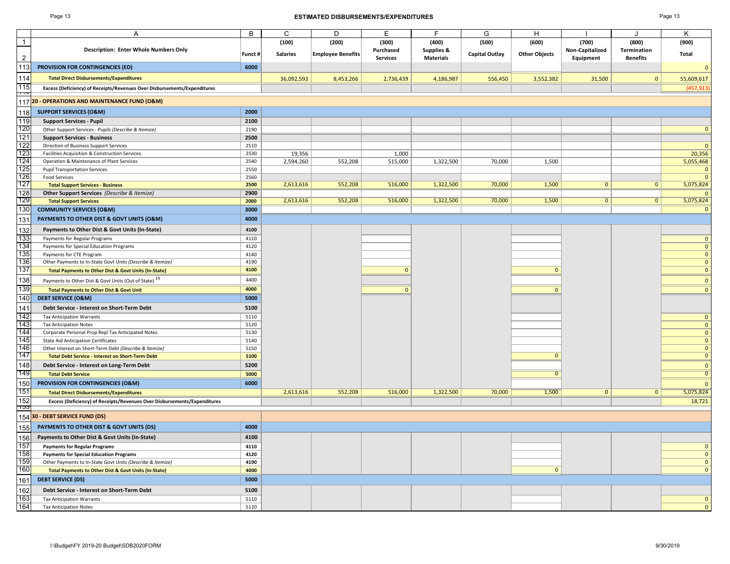#### Page 13 **ESTIMATED DISBURSEMENTS/EXPENDITURES** Page 13

| ٠ |  |
|---|--|
|---|--|

|                | A                                                                                                | B            | C               | D                        | Е               | F                     | G                     | н                    |                 | J               | Κ                              |
|----------------|--------------------------------------------------------------------------------------------------|--------------|-----------------|--------------------------|-----------------|-----------------------|-----------------------|----------------------|-----------------|-----------------|--------------------------------|
| $\overline{1}$ |                                                                                                  |              | (100)           | (200)                    | (300)           | (400)                 | (500)                 | (600)                | (700)           | (800)           | (900)                          |
|                | <b>Description: Enter Whole Numbers Only</b>                                                     |              |                 |                          | Purchased       | <b>Supplies &amp;</b> |                       |                      | Non-Capitalized | Termination     |                                |
| $\overline{2}$ |                                                                                                  | Funct#       | <b>Salaries</b> | <b>Employee Benefits</b> | <b>Services</b> | <b>Materials</b>      | <b>Capital Outlay</b> | <b>Other Objects</b> | Equipment       | <b>Benefits</b> | Total                          |
| 113            | PROVISION FOR CONTINGENCIES (ED)                                                                 | 6000         |                 |                          |                 |                       |                       |                      |                 |                 | $\mathbf{0}$                   |
| 114            | <b>Total Direct Disbursements/Expenditures</b>                                                   |              | 36,092,593      | 8,453,266                | 2,736,439       | 4,186,987             | 556,450               | 3,552,382            | 31,500          | $\mathbf{0}$    | 55,609,617                     |
| 115            | Excess (Deficiency) of Receipts/Revenues Over Disbursements/Expenditures                         |              |                 |                          |                 |                       |                       |                      |                 |                 | (457, 913)                     |
|                | 117 20 - OPERATIONS AND MAINTENANCE FUND (O&M)                                                   |              |                 |                          |                 |                       |                       |                      |                 |                 |                                |
|                | <b>SUPPORT SERVICES (O&amp;M)</b>                                                                | 2000         |                 |                          |                 |                       |                       |                      |                 |                 |                                |
| 118<br>119     | <b>Support Services - Pupil</b>                                                                  | 2100         |                 |                          |                 |                       |                       |                      |                 |                 |                                |
| 120            | Other Support Services - Pupils (Describe & Itemize)                                             | 2190         |                 |                          |                 |                       |                       |                      |                 |                 | $\mathbf{0}$                   |
| $121$          | <b>Support Services - Business</b>                                                               | 2500         |                 |                          |                 |                       |                       |                      |                 |                 |                                |
| 122            | Direction of Business Support Services                                                           | 2510         |                 |                          |                 |                       |                       |                      |                 |                 | $\mathbf{0}$                   |
| 123            | Facilities Acquisition & Construction Services                                                   | 2530         | 19,356          |                          | 1,000           |                       |                       |                      |                 |                 | 20,356                         |
| 124            | Operation & Maintenance of Plant Services                                                        | 2540         | 2,594,260       | 552,208                  | 515,000         | 1,322,500             | 70,000                | 1,500                |                 |                 | 5,055,468                      |
| 125            | <b>Pupil Transportation Services</b>                                                             | 2550         |                 |                          |                 |                       |                       |                      |                 |                 | $\mathbf{0}$                   |
| 126            | <b>Food Services</b>                                                                             | 2560         |                 |                          |                 |                       |                       |                      |                 |                 | $\mathbf{0}$                   |
| 127            | <b>Total Support Services - Business</b>                                                         | 2500         | 2,613,616       | 552,208                  | 516,000         | 1,322,500             | 70,000                | 1,500                | $\mathbf{0}$    | 0 <sup>1</sup>  | 5,075,824                      |
| 128            | Other Support Services (Describe & Itemize)                                                      | 2900         |                 |                          |                 |                       |                       |                      |                 |                 | $\mathbf{0}$                   |
| 129            | <b>Total Support Services</b>                                                                    | 2000         | 2,613,616       | 552,208                  | 516,000         | 1,322,500             | 70,000                | 1,500                | $\mathbf{0}$    | 0 <sup>1</sup>  | 5,075,824                      |
| 130            | <b>COMMUNITY SERVICES (O&amp;M)</b>                                                              | 3000         |                 |                          |                 |                       |                       |                      |                 |                 | $\mathbf{0}$                   |
| 131            | PAYMENTS TO OTHER DIST & GOVT UNITS (O&M)                                                        | 4000         |                 |                          |                 |                       |                       |                      |                 |                 |                                |
| 132            | Payments to Other Dist & Govt Units (In-State)                                                   | 4100         |                 |                          |                 |                       |                       |                      |                 |                 |                                |
| 133            | Payments for Regular Programs                                                                    | 4110         |                 |                          |                 |                       |                       |                      |                 |                 | $\mathbf{0}$                   |
| 134            | Payments for Special Education Programs                                                          | 4120         |                 |                          |                 |                       |                       |                      |                 |                 | $\mathbf{0}$                   |
| 135            | Payments for CTE Program                                                                         | 4140         |                 |                          |                 |                       |                       |                      |                 |                 | $\mathbf{0}$                   |
| 136            | Other Payments to In-State Govt Units (Describe & Itemize)                                       | 4190         |                 |                          |                 |                       |                       |                      |                 |                 | $\mathbf{0}$                   |
| 137            | Total Payments to Other Dist & Govt Units (In-State)                                             | 4100         |                 |                          | $\mathbf{0}$    |                       |                       | $\mathbf{0}$         |                 |                 | $\mathbf{0}$                   |
| 138            | Payments to Other Dist & Govt Units (Out of State) <sup>14</sup>                                 | 4400         |                 |                          |                 |                       |                       |                      |                 |                 | $\mathbf{0}$                   |
| 139            | <b>Total Payments to Other Dist &amp; Govt Unit</b>                                              | 4000         |                 |                          | $\mathbf{0}$    |                       |                       | $\mathbf{0}$         |                 |                 | $\mathbf{0}$                   |
| 140            | <b>DEBT SERVICE (O&amp;M)</b>                                                                    | 5000         |                 |                          |                 |                       |                       |                      |                 |                 |                                |
| 141            | Debt Service - Interest on Short-Term Debt                                                       | 5100         |                 |                          |                 |                       |                       |                      |                 |                 |                                |
| 142            |                                                                                                  |              |                 |                          |                 |                       |                       |                      |                 |                 |                                |
| 143            | <b>Tax Anticipation Warrants</b>                                                                 | 5110<br>5120 |                 |                          |                 |                       |                       |                      |                 |                 | $\mathbf{0}$<br>$\mathbf{0}$   |
| 144            | <b>Tax Anticipation Notes</b>                                                                    |              |                 |                          |                 |                       |                       |                      |                 |                 | $\mathbf{0}$                   |
| 145            | Corporate Personal Prop Repl Tax Anticipated Notes<br><b>State Aid Anticipation Certificates</b> | 5130<br>5140 |                 |                          |                 |                       |                       |                      |                 |                 | $\mathbf{0}$                   |
| 146            | Other Interest on Short-Term Debt (Describe & Itemize)                                           | 5150         |                 |                          |                 |                       |                       |                      |                 |                 | $\mathbf{0}$                   |
| 147            | <b>Total Debt Service - Interest on Short-Term Debt</b>                                          | 5100         |                 |                          |                 |                       |                       | $\mathbf{0}$         |                 |                 | $\mathbf{0}$                   |
| 148            | Debt Service - Interest on Long-Term Debt                                                        | 5200         |                 |                          |                 |                       |                       |                      |                 |                 |                                |
| 149            |                                                                                                  |              |                 |                          |                 |                       |                       | $\overline{0}$       |                 |                 | $\mathbf{0}$<br>$\overline{0}$ |
|                | <b>Total Debt Service</b>                                                                        | 5000         |                 |                          |                 |                       |                       |                      |                 |                 |                                |
| 150            | PROVISION FOR CONTINGENCIES (O&M)                                                                | 6000         |                 |                          |                 |                       |                       |                      |                 |                 | $\mathbf{0}$                   |
| 151            | <b>Total Direct Disbursements/Expenditures</b>                                                   |              | 2,613,616       | 552,208                  | 516,000         | 1,322,500             | 70,000                | 1,500                | $\mathbf{0}$    | $\mathbf{0}$    | 5,075,824                      |
| 152<br>ျာပ     | Excess (Deficiency) of Receipts/Revenues Over Disbursements/Expenditures                         |              |                 |                          |                 |                       |                       |                      |                 |                 | 18,721                         |
|                | 154 30 - DEBT SERVICE FUND (DS)                                                                  |              |                 |                          |                 |                       |                       |                      |                 |                 |                                |
| 155            | PAYMENTS TO OTHER DIST & GOVT UNITS (DS)                                                         | 4000         |                 |                          |                 |                       |                       |                      |                 |                 |                                |
| 156            | Payments to Other Dist & Govt Units (In-State)                                                   | 4100         |                 |                          |                 |                       |                       |                      |                 |                 |                                |
| 157            | <b>Payments for Regular Programs</b>                                                             | 4110         |                 |                          |                 |                       |                       |                      |                 |                 | $\mathbf{0}$                   |
| 158            | <b>Payments for Special Education Programs</b>                                                   | 4120         |                 |                          |                 |                       |                       |                      |                 |                 | $\mathbf{0}$                   |
| 159            | Other Payments to In-State Govt Units (Describe & Itemize)                                       | 4190         |                 |                          |                 |                       |                       |                      |                 |                 | $\mathbf{0}$                   |
| 160            | Total Payments to Other Dist & Govt Units (In-State)                                             | 4000         |                 |                          |                 |                       |                       | $\mathbf{0}$         |                 |                 | $\mathbf{0}$                   |
| 161            | <b>DEBT SERVICE (DS)</b>                                                                         | 5000         |                 |                          |                 |                       |                       |                      |                 |                 |                                |
| 162            | Debt Service - Interest on Short-Term Debt                                                       | 5100         |                 |                          |                 |                       |                       |                      |                 |                 |                                |
| 163            | <b>Tax Anticipation Warrants</b>                                                                 | 5110         |                 |                          |                 |                       |                       |                      |                 |                 | $\mathbf{0}$                   |
| 164            | <b>Tax Anticipation Notes</b>                                                                    | 5120         |                 |                          |                 |                       |                       |                      |                 |                 | $\mathbf{0}$                   |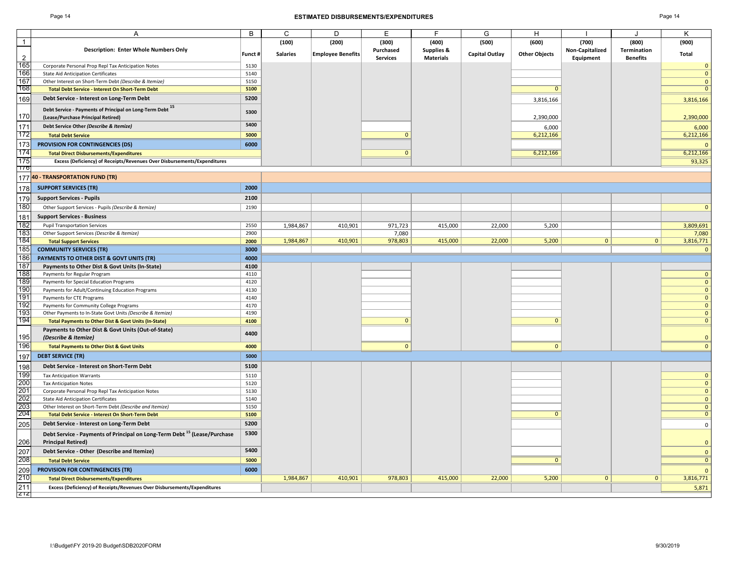#### Page 14 **ESTIMATED DISBURSEMENTS/EXPENDITURES** Page 14

| ю<br>-ar- |  |
|-----------|--|
|-----------|--|

|                | А                                                                                                                 | B            | C               | D                        | E               | F                     | G                     | H                    |                 |                    | K                              |
|----------------|-------------------------------------------------------------------------------------------------------------------|--------------|-----------------|--------------------------|-----------------|-----------------------|-----------------------|----------------------|-----------------|--------------------|--------------------------------|
| $\overline{1}$ |                                                                                                                   |              | (100)           | (200)                    | (300)           | (400)                 | (500)                 | (600)                | (700)           | (800)              | (900)                          |
|                | <b>Description: Enter Whole Numbers Only</b>                                                                      |              |                 |                          | Purchased       | <b>Supplies &amp;</b> |                       |                      | Non-Capitalized | <b>Termination</b> |                                |
| 2              |                                                                                                                   | Funct #      | <b>Salaries</b> | <b>Employee Benefits</b> | <b>Services</b> | <b>Materials</b>      | <b>Capital Outlay</b> | <b>Other Objects</b> | Equipment       | <b>Benefits</b>    | Total                          |
| 165            | Corporate Personal Prop Repl Tax Anticipation Notes                                                               | 5130         |                 |                          |                 |                       |                       |                      |                 |                    | $\mathbf{0}$                   |
| 166            | <b>State Aid Anticipation Certificates</b>                                                                        | 5140         |                 |                          |                 |                       |                       |                      |                 |                    | $\mathbf{0}$                   |
| 167<br>168     | Other Interest on Short-Term Debt (Describe & Itemize)                                                            | 5150         |                 |                          |                 |                       |                       |                      |                 |                    | $\mathbf{0}$<br>$\overline{0}$ |
|                | <b>Total Debt Service - Interest On Short-Term Debt</b>                                                           | 5100         |                 |                          |                 |                       |                       | $\mathbf{0}$         |                 |                    |                                |
| 169            | Debt Service - Interest on Long-Term Debt                                                                         | 5200         |                 |                          |                 |                       |                       | 3,816,166            |                 |                    | 3,816,166                      |
|                | Debt Service - Payments of Principal on Long-Term Debt <sup>15</sup>                                              | 5300         |                 |                          |                 |                       |                       |                      |                 |                    |                                |
| 170            | (Lease/Purchase Principal Retired)                                                                                |              |                 |                          |                 |                       |                       | 2,390,000            |                 |                    | 2,390,000                      |
| 171            | Debt Service Other (Describe & Itemize)                                                                           | 5400         |                 |                          |                 |                       |                       | 6,000                |                 |                    | 6,000                          |
| 172            | <b>Total Debt Service</b>                                                                                         | 5000         |                 |                          | $\mathbf{0}$    |                       |                       | 6,212,166            |                 |                    | 6,212,166                      |
| 173            | <b>PROVISION FOR CONTINGENCIES (DS)</b>                                                                           | 6000         |                 |                          |                 |                       |                       |                      |                 |                    | $\Omega$                       |
| 174            | <b>Total Direct Disbursements/Expenditures</b>                                                                    |              |                 |                          | $\mathbf{0}$    |                       |                       | 6,212,166            |                 |                    | 6,212,166                      |
| 175            | Excess (Deficiency) of Receipts/Revenues Over Disbursements/Expenditures                                          |              |                 |                          |                 |                       |                       |                      |                 |                    | 93,325                         |
| 170            |                                                                                                                   |              |                 |                          |                 |                       |                       |                      |                 |                    |                                |
|                | 177 40 - TRANSPORTATION FUND (TR)                                                                                 |              |                 |                          |                 |                       |                       |                      |                 |                    |                                |
| 178            | <b>SUPPORT SERVICES (TR)</b>                                                                                      | 2000         |                 |                          |                 |                       |                       |                      |                 |                    |                                |
| 179            | <b>Support Services - Pupils</b>                                                                                  | 2100         |                 |                          |                 |                       |                       |                      |                 |                    |                                |
| 180            | Other Support Services - Pupils (Describe & Itemize)                                                              | 2190         |                 |                          |                 |                       |                       |                      |                 |                    | $\mathbf{0}$                   |
| 181            | <b>Support Services - Business</b>                                                                                |              |                 |                          |                 |                       |                       |                      |                 |                    |                                |
| 182            | <b>Pupil Transportation Services</b>                                                                              | 2550         | 1,984,867       | 410,901                  | 971,723         | 415,000               | 22,000                | 5,200                |                 |                    | 3,809,691                      |
| 183            | Other Support Services (Describe & Itemize)                                                                       | 2900         |                 |                          | 7,080           |                       |                       |                      |                 |                    | 7,080                          |
| 184            | <b>Total Support Services</b>                                                                                     | 2000         | 1,984,867       | 410,901                  | 978,803         | 415,000               | 22,000                | 5,200                | $\mathbf{0}$    | $\mathbf{0}$       | 3,816,771                      |
| 185            | <b>COMMUNITY SERVICES (TR)</b>                                                                                    | 3000         |                 |                          |                 |                       |                       |                      |                 |                    | $\mathbf{0}$                   |
| 186            | PAYMENTS TO OTHER DIST & GOVT UNITS (TR)                                                                          | 4000         |                 |                          |                 |                       |                       |                      |                 |                    |                                |
| 187            | Payments to Other Dist & Govt Units (In-State)                                                                    | 4100         |                 |                          |                 |                       |                       |                      |                 |                    |                                |
| 188            | Payments for Regular Program                                                                                      | 4110         |                 |                          |                 |                       |                       |                      |                 |                    | $\mathbf{0}$                   |
| 189<br>190     | Payments for Special Education Programs                                                                           | 4120<br>4130 |                 |                          |                 |                       |                       |                      |                 |                    | $\mathbf{0}$<br>$\mathbf{0}$   |
| 191            | Payments for Adult/Continuing Education Programs<br>Payments for CTE Programs                                     | 4140         |                 |                          |                 |                       |                       |                      |                 |                    | $\mathbf{0}$                   |
| 192            | Payments for Community College Programs                                                                           | 4170         |                 |                          |                 |                       |                       |                      |                 |                    | $\mathbf{0}$                   |
| 193            | Other Payments to In-State Govt Units (Describe & Itemize)                                                        | 4190         |                 |                          |                 |                       |                       |                      |                 |                    | $\mathbf{0}$                   |
| 194            | <b>Total Payments to Other Dist &amp; Govt Units (In-State)</b>                                                   | 4100         |                 |                          | $\mathbf{0}$    |                       |                       | $\mathbf{0}$         |                 |                    | $\mathbf{0}$                   |
|                | Payments to Other Dist & Govt Units (Out-of-State)                                                                |              |                 |                          |                 |                       |                       |                      |                 |                    |                                |
| 195            | (Describe & Itemize)                                                                                              | 4400         |                 |                          |                 |                       |                       |                      |                 |                    | $\mathbf{0}$                   |
| 196            | <b>Total Payments to Other Dist &amp; Govt Units</b>                                                              | 4000         |                 |                          | $\overline{0}$  |                       |                       | $\mathbf{0}$         |                 |                    | $\mathbf{0}$                   |
| 197            | <b>DEBT SERVICE (TR)</b>                                                                                          | 5000         |                 |                          |                 |                       |                       |                      |                 |                    |                                |
| 198            | Debt Service - Interest on Short-Term Debt                                                                        | 5100         |                 |                          |                 |                       |                       |                      |                 |                    |                                |
| 199            | <b>Tax Anticipation Warrants</b>                                                                                  | 5110         |                 |                          |                 |                       |                       |                      |                 |                    | $\mathbf{0}$                   |
| 200            | <b>Tax Anticipation Notes</b>                                                                                     | 5120         |                 |                          |                 |                       |                       |                      |                 |                    | $\mathbf{0}$                   |
| 201            | Corporate Personal Prop Repl Tax Anticipation Notes                                                               | 5130         |                 |                          |                 |                       |                       |                      |                 |                    | $\mathbf{0}$                   |
| 202            | <b>State Aid Anticipation Certificates</b>                                                                        | 5140         |                 |                          |                 |                       |                       |                      |                 |                    | $\mathbf{0}$                   |
| 203            | Other Interest on Short-Term Debt (Describe and Itemize)                                                          | 5150         |                 |                          |                 |                       |                       |                      |                 |                    | $\mathbf{0}$                   |
| 204            | <b>Total Debt Service - Interest On Short-Term Debt</b>                                                           | 5100         |                 |                          |                 |                       |                       | $\mathbf{0}$         |                 |                    | $\mathbf{0}$                   |
| 205            | Debt Service - Interest on Long-Term Debt                                                                         | 5200         |                 |                          |                 |                       |                       |                      |                 |                    | $\mathbf 0$                    |
| 206            | Debt Service - Payments of Principal on Long-Term Debt <sup>15</sup> (Lease/Purchase<br><b>Principal Retired)</b> | 5300         |                 |                          |                 |                       |                       |                      |                 |                    | $\mathbf{0}$                   |
| 207            | Debt Service - Other (Describe and Itemize)                                                                       | 5400         |                 |                          |                 |                       |                       |                      |                 |                    | $\mathbf{0}$                   |
| 208            | <b>Total Debt Service</b>                                                                                         | 5000         |                 |                          |                 |                       |                       | $\mathbf{0}$         |                 |                    | $\overline{0}$                 |
| 209            | PROVISION FOR CONTINGENCIES (TR)                                                                                  | 6000         |                 |                          |                 |                       |                       |                      |                 |                    | $\mathbf{0}$                   |
| 210            | <b>Total Direct Disbursements/Expenditures</b>                                                                    |              | 1,984,867       | 410,901                  | 978,803         | 415,000               | 22,000                | 5,200                | $\mathbf{0}$    | 0 <sup>1</sup>     | 3,816,771                      |
| 211            | Excess (Deficiency) of Receipts/Revenues Over Disbursements/Expenditures                                          |              |                 |                          |                 |                       |                       |                      |                 |                    | 5,871                          |
| Z12            |                                                                                                                   |              |                 |                          |                 |                       |                       |                      |                 |                    |                                |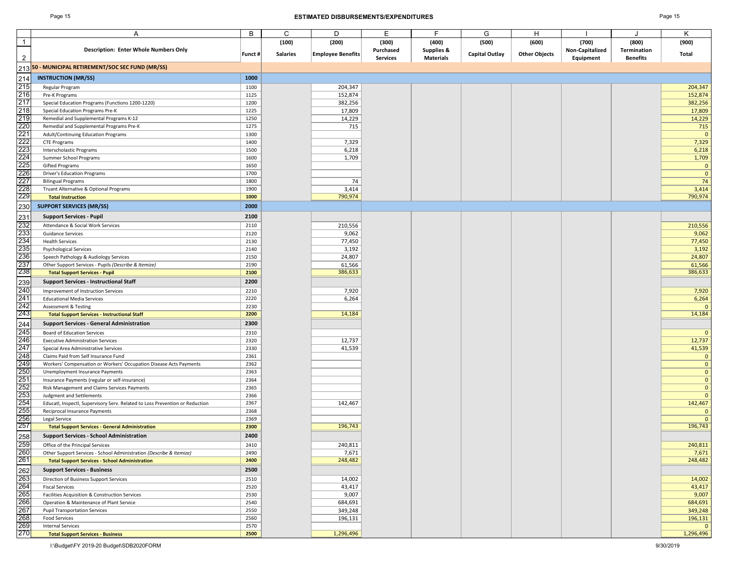#### Page 15 **ESTIMATED DISBURSEMENTS/EXPENDITURES** Page 15

|                                                                  | Α                                                                            | В            | C               | D                        | E.              | F.               | G                     | H                    |                 | J               | K              |
|------------------------------------------------------------------|------------------------------------------------------------------------------|--------------|-----------------|--------------------------|-----------------|------------------|-----------------------|----------------------|-----------------|-----------------|----------------|
| $\overline{1}$                                                   |                                                                              |              | (100)           | (200)                    | (300)           | (400)            | (500)                 | (600)                | (700)           | (800)           | (900)          |
|                                                                  | <b>Description: Enter Whole Numbers Only</b>                                 |              |                 |                          | Purchased       | Supplies &       |                       |                      | Non-Capitalized | Termination     |                |
|                                                                  |                                                                              | Funct #      | <b>Salaries</b> | <b>Employee Benefits</b> | <b>Services</b> | <b>Materials</b> | <b>Capital Outlay</b> | <b>Other Objects</b> | Equipment       | <b>Benefits</b> | Total          |
|                                                                  | 213 <mark>50 - MUNICIPAL RETIREMENT/SOC SEC FUND (MR/SS)</mark>              |              |                 |                          |                 |                  |                       |                      |                 |                 |                |
| 214                                                              | <b>INSTRUCTION (MR/SS)</b>                                                   | 1000         |                 |                          |                 |                  |                       |                      |                 |                 |                |
| 215                                                              | Regular Program                                                              | 1100         |                 | 204,347                  |                 |                  |                       |                      |                 |                 | 204,347        |
| 216                                                              | Pre-K Programs                                                               | 1125         |                 | 152,874                  |                 |                  |                       |                      |                 |                 | 152,874        |
| 217                                                              | Special Education Programs (Functions 1200-1220)                             | 1200         |                 | 382,256                  |                 |                  |                       |                      |                 |                 | 382,256        |
| 218                                                              | Special Education Programs Pre-K                                             | 1225         |                 | 17,809                   |                 |                  |                       |                      |                 |                 | 17,809         |
| 219                                                              | Remedial and Supplemental Programs K-12                                      | 1250         |                 | 14,229                   |                 |                  |                       |                      |                 |                 | 14,229         |
|                                                                  | Remedial and Supplemental Programs Pre-K                                     | 1275         |                 | 715                      |                 |                  |                       |                      |                 |                 | 715            |
|                                                                  | Adult/Continuing Education Programs                                          | 1300         |                 |                          |                 |                  |                       |                      |                 |                 |                |
|                                                                  | <b>CTE Programs</b>                                                          | 1400         |                 | 7,329                    |                 |                  |                       |                      |                 |                 | 7,329          |
|                                                                  | Interscholastic Programs                                                     | 1500         |                 | 6,218                    |                 |                  |                       |                      |                 |                 | 6,218          |
|                                                                  | Summer School Programs                                                       | 1600         |                 | 1,709                    |                 |                  |                       |                      |                 |                 | 1,709          |
|                                                                  | <b>Gifted Programs</b>                                                       | 1650         |                 |                          |                 |                  |                       |                      |                 |                 | $\mathfrak{c}$ |
|                                                                  | Driver's Education Programs                                                  | 1700         |                 |                          |                 |                  |                       |                      |                 |                 | $\mathfrak{c}$ |
|                                                                  | <b>Bilingual Programs</b>                                                    | 1800         |                 | 74                       |                 |                  |                       |                      |                 |                 | 74             |
|                                                                  | Truant Alternative & Optional Programs                                       | 1900         |                 | 3,414                    |                 |                  |                       |                      |                 |                 | 3,414          |
| 220<br>221<br>2223<br>2225<br>2226<br>2227<br>2229<br>230<br>230 | <b>Total Instruction</b>                                                     | 1000         |                 | 790,974                  |                 |                  |                       |                      |                 |                 | 790,974        |
|                                                                  | <b>SUPPORT SERVICES (MR/SS)</b>                                              | 2000         |                 |                          |                 |                  |                       |                      |                 |                 |                |
| 231<br>232                                                       | <b>Support Services - Pupil</b>                                              | 2100         |                 |                          |                 |                  |                       |                      |                 |                 |                |
|                                                                  | Attendance & Social Work Services                                            | 2110         |                 | 210,556                  |                 |                  |                       |                      |                 |                 | 210,556        |
|                                                                  | <b>Guidance Services</b>                                                     | 2120         |                 | 9,062                    |                 |                  |                       |                      |                 |                 | 9,062          |
|                                                                  | <b>Health Services</b>                                                       | 2130         |                 | 77,450                   |                 |                  |                       |                      |                 |                 | 77,450         |
| <u>=5=</u><br>233<br>234<br>235                                  | <b>Psychological Services</b>                                                | 2140         |                 | 3,192                    |                 |                  |                       |                      |                 |                 | 3,192          |
| 236                                                              | Speech Pathology & Audiology Services                                        | 2150         |                 | 24,807                   |                 |                  |                       |                      |                 |                 | 24,807         |
| 237                                                              | Other Support Services - Pupils (Describe & Itemize)                         | 2190         |                 | 61,566                   |                 |                  |                       |                      |                 |                 | 61,566         |
| 238                                                              | <b>Total Support Services - Pupil</b>                                        | 2100         |                 | 386,633                  |                 |                  |                       |                      |                 |                 | 386,633        |
| 239                                                              | <b>Support Services - Instructional Staff</b>                                | 2200         |                 |                          |                 |                  |                       |                      |                 |                 |                |
| 240                                                              | Improvement of Instruction Services                                          | 2210         |                 | 7,920                    |                 |                  |                       |                      |                 |                 | 7,920          |
|                                                                  | <b>Educational Media Services</b>                                            | 2220         |                 | 6,264                    |                 |                  |                       |                      |                 |                 | 6,264          |
|                                                                  | <b>Assessment &amp; Testing</b>                                              | 2230         |                 |                          |                 |                  |                       |                      |                 |                 |                |
| 241<br>242<br>243                                                | <b>Total Support Services - Instructional Staff</b>                          | 2200         |                 | 14,184                   |                 |                  |                       |                      |                 |                 | 14,184         |
| 244                                                              | <b>Support Services - General Administration</b>                             | 2300         |                 |                          |                 |                  |                       |                      |                 |                 |                |
|                                                                  | <b>Board of Education Services</b>                                           | 2310         |                 |                          |                 |                  |                       |                      |                 |                 |                |
|                                                                  | <b>Executive Administration Services</b>                                     | 2320         |                 | 12,737                   |                 |                  |                       |                      |                 |                 | 12,737         |
|                                                                  | Special Area Administrative Services                                         | 2330         |                 | 41,539                   |                 |                  |                       |                      |                 |                 | 41,539         |
| 245<br>246<br>247<br>248<br>249                                  | Claims Paid from Self Insurance Fund                                         | 2361         |                 |                          |                 |                  |                       |                      |                 |                 |                |
|                                                                  | Workers' Compensation or Workers' Occupation Disease Acts Payments           | 2362         |                 |                          |                 |                  |                       |                      |                 |                 | -C             |
| 250                                                              | Unemployment Insurance Payments                                              | 2363         |                 |                          |                 |                  |                       |                      |                 |                 |                |
| 251                                                              | Insurance Payments (regular or self-insurance)                               | 2364         |                 |                          |                 |                  |                       |                      |                 |                 | C              |
|                                                                  | Risk Management and Claims Services Payments                                 | 2365         |                 |                          |                 |                  |                       |                      |                 |                 | C              |
| 252<br>253<br>254<br>255                                         | Judgment and Settlements                                                     | 2366         |                 |                          |                 |                  |                       |                      |                 |                 |                |
|                                                                  | Educatl, Inspectl, Supervisory Serv. Related to Loss Prevention or Reduction | 2367         |                 | 142,467                  |                 |                  |                       |                      |                 |                 | 142,467        |
| 256                                                              | Reciprocal Insurance Payments                                                | 2368         |                 |                          |                 |                  |                       |                      |                 |                 |                |
| 257                                                              | Legal Service                                                                | 2369<br>2300 |                 | 196,743                  |                 |                  |                       |                      |                 |                 | 196,743        |
|                                                                  | <b>Total Support Services - General Administration</b>                       |              |                 |                          |                 |                  |                       |                      |                 |                 |                |
| 258<br>259<br>260<br>261                                         | <b>Support Services - School Administration</b>                              | 2400         |                 |                          |                 |                  |                       |                      |                 |                 |                |
|                                                                  | Office of the Principal Services                                             | 2410         |                 | 240,811                  |                 |                  |                       |                      |                 |                 | 240,811        |
|                                                                  | Other Support Services - School Administration (Describe & Itemize)          | 2490         |                 | 7,671                    |                 |                  |                       |                      |                 |                 | 7,671          |
|                                                                  | <b>Total Support Services - School Administration</b>                        | 2400         |                 | 248,482                  |                 |                  |                       |                      |                 |                 | 248,482        |
| 262<br>263<br>264<br>265<br>266<br>267<br>268<br>269<br>269      | <b>Support Services - Business</b>                                           | 2500         |                 |                          |                 |                  |                       |                      |                 |                 |                |
|                                                                  | Direction of Business Support Services                                       | 2510         |                 | 14,002                   |                 |                  |                       |                      |                 |                 | 14,002         |
|                                                                  | <b>Fiscal Services</b>                                                       | 2520         |                 | 43,417                   |                 |                  |                       |                      |                 |                 | 43,417         |
|                                                                  | Facilities Acquisition & Construction Services                               | 2530         |                 | 9,007                    |                 |                  |                       |                      |                 |                 | 9,007          |
|                                                                  | Operation & Maintenance of Plant Service                                     | 2540         |                 | 684,691                  |                 |                  |                       |                      |                 |                 | 684,691        |
|                                                                  | <b>Pupil Transportation Services</b>                                         | 2550         |                 | 349,248                  |                 |                  |                       |                      |                 |                 | 349,248        |
|                                                                  | <b>Food Services</b>                                                         | 2560         |                 | 196,131                  |                 |                  |                       |                      |                 |                 | 196,131        |
|                                                                  | <b>Internal Services</b>                                                     | 2570<br>2500 |                 | 1,296,496                |                 |                  |                       |                      |                 |                 | 1,296,496      |
|                                                                  | <b>Total Support Services - Business</b>                                     |              |                 |                          |                 |                  |                       |                      |                 |                 |                |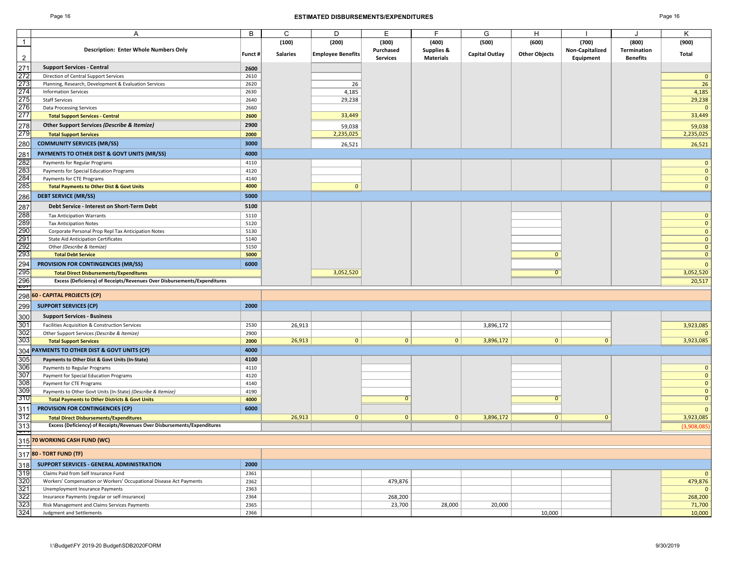### Page 16 **ESTIMATED DISBURSEMENTS/EXPENDITURES** Page 16

|                                                      | A                                                                        | B       | C               | D                        | Е               | F                     | G                     | H                    |                 |                 | Κ              |
|------------------------------------------------------|--------------------------------------------------------------------------|---------|-----------------|--------------------------|-----------------|-----------------------|-----------------------|----------------------|-----------------|-----------------|----------------|
| $\overline{1}$                                       |                                                                          |         | (100)           | (200)                    | (300)           | (400)                 | (500)                 | (600)                | (700)           | (800)           | (900)          |
|                                                      | <b>Description: Enter Whole Numbers Only</b>                             |         |                 |                          | Purchased       | <b>Supplies &amp;</b> |                       |                      | Non-Capitalized | Termination     |                |
| $\overline{2}$                                       |                                                                          | Funct # | <b>Salaries</b> | <b>Employee Benefits</b> | <b>Services</b> | <b>Materials</b>      | <b>Capital Outlay</b> | <b>Other Objects</b> | Equipment       | <b>Benefits</b> | Total          |
|                                                      | <b>Support Services - Central</b>                                        |         |                 |                          |                 |                       |                       |                      |                 |                 |                |
|                                                      |                                                                          | 2600    |                 |                          |                 |                       |                       |                      |                 |                 |                |
|                                                      | Direction of Central Support Services                                    | 2610    |                 |                          |                 |                       |                       |                      |                 |                 | $\mathbf{0}$   |
|                                                      | Planning, Research, Development & Evaluation Services                    | 2620    |                 | 26                       |                 |                       |                       |                      |                 |                 | 26             |
|                                                      | <b>Information Services</b>                                              | 2630    |                 | 4,185                    |                 |                       |                       |                      |                 |                 | 4,185          |
|                                                      | <b>Staff Services</b>                                                    | 2640    |                 | 29,238                   |                 |                       |                       |                      |                 |                 | 29,238         |
|                                                      | <b>Data Processing Services</b>                                          | 2660    |                 |                          |                 |                       |                       |                      |                 |                 | $\mathbf{0}$   |
| 271<br>272<br>273<br>274<br>275<br>275<br>277        | <b>Total Support Services - Central</b>                                  | 2600    |                 | 33,449                   |                 |                       |                       |                      |                 |                 | 33,449         |
|                                                      |                                                                          |         |                 |                          |                 |                       |                       |                      |                 |                 |                |
|                                                      | Other Support Services (Describe & Itemize)                              | 2900    |                 | 59,038                   |                 |                       |                       |                      |                 |                 | 59,038         |
| 278<br>279                                           | <b>Total Support Services</b>                                            | 2000    |                 | 2,235,025                |                 |                       |                       |                      |                 |                 | 2,235,025      |
| 280                                                  | <b>COMMUNITY SERVICES (MR/SS)</b>                                        | 3000    |                 | 26,521                   |                 |                       |                       |                      |                 |                 | 26,521         |
|                                                      |                                                                          |         |                 |                          |                 |                       |                       |                      |                 |                 |                |
| 281<br>282<br>283                                    | PAYMENTS TO OTHER DIST & GOVT UNITS (MR/SS)                              | 4000    |                 |                          |                 |                       |                       |                      |                 |                 |                |
|                                                      | Payments for Regular Programs                                            | 4110    |                 |                          |                 |                       |                       |                      |                 |                 | $\mathbf{0}$   |
|                                                      | Payments for Special Education Programs                                  | 4120    |                 |                          |                 |                       |                       |                      |                 |                 | $\mathbf{0}$   |
| 284                                                  | Payments for CTE Programs                                                | 4140    |                 |                          |                 |                       |                       |                      |                 |                 | $\mathbf{0}$   |
| 285                                                  | <b>Total Payments to Other Dist &amp; Govt Units</b>                     | 4000    |                 | $\mathbf{0}$             |                 |                       |                       |                      |                 |                 | $\mathbf{0}$   |
|                                                      |                                                                          |         |                 |                          |                 |                       |                       |                      |                 |                 |                |
| 286                                                  | <b>DEBT SERVICE (MR/SS)</b>                                              | 5000    |                 |                          |                 |                       |                       |                      |                 |                 |                |
|                                                      | Debt Service - Interest on Short-Term Debt                               | 5100    |                 |                          |                 |                       |                       |                      |                 |                 |                |
| 287<br>288<br>290<br>291<br>292<br>293               | <b>Tax Anticipation Warrants</b>                                         | 5110    |                 |                          |                 |                       |                       |                      |                 |                 | $\mathbf{0}$   |
|                                                      | <b>Tax Anticipation Notes</b>                                            | 5120    |                 |                          |                 |                       |                       |                      |                 |                 | $\mathbf{0}$   |
|                                                      | Corporate Personal Prop Repl Tax Anticipation Notes                      | 5130    |                 |                          |                 |                       |                       |                      |                 |                 | $\mathbf{0}$   |
|                                                      |                                                                          |         |                 |                          |                 |                       |                       |                      |                 |                 |                |
|                                                      | <b>State Aid Anticipation Certificates</b>                               | 5140    |                 |                          |                 |                       |                       |                      |                 |                 | $\mathbf{0}$   |
|                                                      | Other (Describe & Itemize)                                               | 5150    |                 |                          |                 |                       |                       |                      |                 |                 | $\mathbf{0}$   |
|                                                      | <b>Total Debt Service</b>                                                | 5000    |                 |                          |                 |                       |                       | $\mathbf{0}$         |                 |                 | $\mathbf{0}$   |
| 294<br>295<br>296<br>297                             | <b>PROVISION FOR CONTINGENCIES (MR/SS)</b>                               | 6000    |                 |                          |                 |                       |                       |                      |                 |                 | $\mathbf{0}$   |
|                                                      | <b>Total Direct Disbursements/Expenditures</b>                           |         |                 | 3,052,520                |                 |                       |                       | $\mathbf{0}$         |                 |                 | 3,052,520      |
|                                                      | Excess (Deficiency) of Receipts/Revenues Over Disbursements/Expenditures |         |                 |                          |                 |                       |                       |                      |                 |                 | 20,517         |
|                                                      |                                                                          |         |                 |                          |                 |                       |                       |                      |                 |                 |                |
|                                                      | 298 60 - CAPITAL PROJECTS (CP)                                           |         |                 |                          |                 |                       |                       |                      |                 |                 |                |
|                                                      | <b>SUPPORT SERVICES (CP)</b>                                             | 2000    |                 |                          |                 |                       |                       |                      |                 |                 |                |
| 299                                                  |                                                                          |         |                 |                          |                 |                       |                       |                      |                 |                 |                |
| 300                                                  | <b>Support Services - Business</b>                                       |         |                 |                          |                 |                       |                       |                      |                 |                 |                |
| 301                                                  | Facilities Acquisition & Construction Services                           | 2530    | 26,913          |                          |                 |                       | 3,896,172             |                      |                 |                 | 3,923,085      |
| 302                                                  | Other Support Services (Describe & Itemize)                              | 2900    |                 |                          |                 |                       |                       |                      |                 |                 |                |
| 303                                                  | <b>Total Support Services</b>                                            | 2000    | 26,913          | $\mathbf{0}$             | $\overline{0}$  | $\mathbf{0}$          | 3,896,172             | $\mathbf{0}$         | $\mathbf{0}$    |                 | 3,923,085      |
|                                                      | 304 PAYMENTS TO OTHER DIST & GOVT UNITS (CP)                             | 4000    |                 |                          |                 |                       |                       |                      |                 |                 |                |
|                                                      |                                                                          |         |                 |                          |                 |                       |                       |                      |                 |                 |                |
| 305                                                  | Payments to Other Dist & Govt Units (In-State)                           | 4100    |                 |                          |                 |                       |                       |                      |                 |                 |                |
| 306                                                  | Payments to Regular Programs                                             | 4110    |                 |                          |                 |                       |                       |                      |                 |                 | $\mathbf{0}$   |
| 307                                                  | Payment for Special Education Programs                                   | 4120    |                 |                          |                 |                       |                       |                      |                 |                 | $\mathbf{0}$   |
| 308                                                  | Payment for CTE Programs                                                 | 4140    |                 |                          |                 |                       |                       |                      |                 |                 | $\mathbf{0}$   |
| 309                                                  | Payments to Other Govt Units (In-State) (Describe & Itemize)             | 4190    |                 |                          |                 |                       |                       |                      |                 |                 | $\mathbf{0}$   |
| 310                                                  | <b>Total Payments to Other Districts &amp; Govt Units</b>                | 4000    |                 |                          | $\Omega$        |                       |                       | $\mathbf{0}$         |                 |                 | $\overline{0}$ |
|                                                      |                                                                          |         |                 |                          |                 |                       |                       |                      |                 |                 |                |
| 311                                                  | PROVISION FOR CONTINGENCIES (CP)                                         | 6000    |                 |                          |                 |                       |                       |                      |                 |                 | $\mathbf{0}$   |
| 312                                                  | <b>Total Direct Disbursements/Expenditures</b>                           |         | 26,913          | $\mathbf{0}$             | $\mathbf{0}$    | $\mathbf{0}$          | 3,896,172             | $\overline{0}$       | $\mathbf{0}$    |                 | 3,923,085      |
| $\frac{313}{11}$                                     | Excess (Deficiency) of Receipts/Revenues Over Disbursements/Expenditures |         |                 |                          |                 |                       |                       |                      |                 |                 | (3,908,085)    |
|                                                      |                                                                          |         |                 |                          |                 |                       |                       |                      |                 |                 |                |
|                                                      | 315 70 WORKING CASH FUND (WC)                                            |         |                 |                          |                 |                       |                       |                      |                 |                 |                |
|                                                      |                                                                          |         |                 |                          |                 |                       |                       |                      |                 |                 |                |
|                                                      | 317 80 - TORT FUND (TF)                                                  |         |                 |                          |                 |                       |                       |                      |                 |                 |                |
| 318<br>319<br>320<br>321<br>322<br>323<br>323<br>324 | SUPPORT SERVICES - GENERAL ADMINISTRATION                                | 2000    |                 |                          |                 |                       |                       |                      |                 |                 |                |
|                                                      | Claims Paid from Self Insurance Fund                                     | 2361    |                 |                          |                 |                       |                       |                      |                 |                 | $\mathbf{0}$   |
|                                                      | Workers' Compensation or Workers' Occupational Disease Act Payments      | 2362    |                 |                          | 479,876         |                       |                       |                      |                 |                 | 479,876        |
|                                                      | Unemployment Insurance Payments                                          | 2363    |                 |                          |                 |                       |                       |                      |                 |                 | $\mathbf{0}$   |
|                                                      | Insurance Payments (regular or self-insurance)                           | 2364    |                 |                          | 268,200         |                       |                       |                      |                 |                 | 268,200        |
|                                                      | Risk Management and Claims Services Payments                             | 2365    |                 |                          | 23,700          | 28,000                | 20,000                |                      |                 |                 | 71,700         |
|                                                      |                                                                          | 2366    |                 |                          |                 |                       |                       |                      |                 |                 |                |
|                                                      | Judgment and Settlements                                                 |         |                 |                          |                 |                       |                       | 10,000               |                 |                 | 10,000         |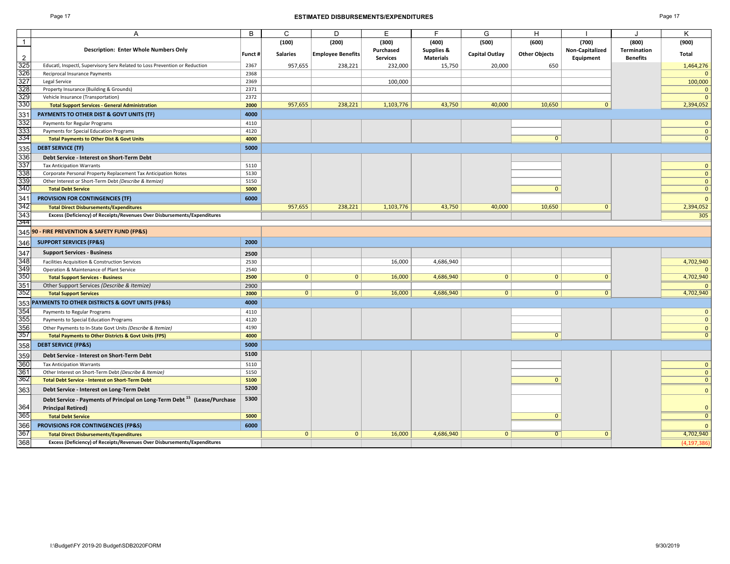#### Page 17 **ESTIMATED DISBURSEMENTS/EXPENDITURES** Page 17

| ٠ |  |  |
|---|--|--|
|---|--|--|

|                                        | Α                                                                                    | B      | C               | D                        | E               | F.               | G                     | Н                    |                 |                    | Κ              |
|----------------------------------------|--------------------------------------------------------------------------------------|--------|-----------------|--------------------------|-----------------|------------------|-----------------------|----------------------|-----------------|--------------------|----------------|
| $\mathbf{1}$                           |                                                                                      |        | (100)           | (200)                    | (300)           | (400)            | (500)                 | (600)                | (700)           | (800)              | (900)          |
|                                        | Description: Enter Whole Numbers Only                                                |        |                 |                          | Purchased       | Supplies &       |                       |                      | Non-Capitalized | <b>Termination</b> |                |
| $\overline{2}$                         |                                                                                      | Funct# | <b>Salaries</b> | <b>Employee Benefits</b> | <b>Services</b> | <b>Materials</b> | <b>Capital Outlay</b> | <b>Other Objects</b> | Equipment       | <b>Benefits</b>    | Total          |
| 325                                    | Educatl, Inspectl, Supervisory Serv Related to Loss Prevention or Reduction          | 2367   | 957,655         | 238,221                  | 232,000         | 15,750           | 20,000                | 650                  |                 |                    | 1,464,276      |
| $\frac{326}{327}$                      | Reciprocal Insurance Payments                                                        | 2368   |                 |                          |                 |                  |                       |                      |                 |                    |                |
|                                        | Legal Service                                                                        | 2369   |                 |                          | 100,000         |                  |                       |                      |                 |                    | 100,000        |
|                                        | Property Insurance (Building & Grounds)                                              | 2371   |                 |                          |                 |                  |                       |                      |                 |                    | $\mathbf{0}$   |
| $\frac{328}{328}$<br>$\frac{329}{330}$ | Vehicle Insurance (Transportation)                                                   | 2372   |                 |                          |                 |                  |                       |                      |                 |                    | $\Omega$       |
|                                        | <b>Total Support Services - General Administration</b>                               | 2000   | 957,655         | 238,221                  | 1,103,776       | 43,750           | 40,000                | 10,650               | $\Omega$        |                    | 2,394,052      |
| 331                                    | PAYMENTS TO OTHER DIST & GOVT UNITS (TF)                                             | 4000   |                 |                          |                 |                  |                       |                      |                 |                    |                |
| 332                                    | Payments for Regular Programs                                                        | 4110   |                 |                          |                 |                  |                       |                      |                 |                    | $\mathbf{0}$   |
| 333                                    | Payments for Special Education Programs                                              | 4120   |                 |                          |                 |                  |                       |                      |                 |                    | $\mathbf{0}$   |
| 334                                    | <b>Total Payments to Other Dist &amp; Govt Units</b>                                 | 4000   |                 |                          |                 |                  |                       | $\mathbf 0$          |                 |                    | $\mathbf{0}$   |
| 335                                    | <b>DEBT SERVICE (TF)</b>                                                             | 5000   |                 |                          |                 |                  |                       |                      |                 |                    |                |
| 336                                    | Debt Service - Interest on Short-Term Debt                                           |        |                 |                          |                 |                  |                       |                      |                 |                    |                |
| 337                                    | <b>Tax Anticipation Warrants</b>                                                     | 5110   |                 |                          |                 |                  |                       |                      |                 |                    | $\mathbf{0}$   |
| 338                                    | Corporate Personal Property Replacement Tax Anticipation Notes                       | 5130   |                 |                          |                 |                  |                       |                      |                 |                    | $\mathbf{0}$   |
| 339                                    | Other Interest or Short-Term Debt (Describe & Itemize)                               | 5150   |                 |                          |                 |                  |                       |                      |                 |                    | $\mathbf{0}$   |
| 340                                    | <b>Total Debt Service</b>                                                            | 5000   |                 |                          |                 |                  |                       | $\overline{0}$       |                 |                    | $\overline{0}$ |
| 341                                    | <b>PROVISION FOR CONTINGENCIES (TF)</b>                                              | 6000   |                 |                          |                 |                  |                       |                      |                 |                    | $\mathbf{0}$   |
| 342                                    | <b>Total Direct Disbursements/Expenditures</b>                                       |        | 957,655         | 238,221                  | 1,103,776       | 43,750           | 40,000                | 10,650               | $\mathbf{0}$    |                    | 2,394,052      |
| 343                                    | Excess (Deficiency) of Receipts/Revenues Over Disbursements/Expenditures             |        |                 |                          |                 |                  |                       |                      |                 |                    | 305            |
| 344                                    |                                                                                      |        |                 |                          |                 |                  |                       |                      |                 |                    |                |
|                                        | 345 90 - FIRE PREVENTION & SAFETY FUND (FP&S)                                        |        |                 |                          |                 |                  |                       |                      |                 |                    |                |
| 346                                    | <b>SUPPORT SERVICES (FP&amp;S)</b>                                                   | 2000   |                 |                          |                 |                  |                       |                      |                 |                    |                |
| 347                                    | <b>Support Services - Business</b>                                                   | 2500   |                 |                          |                 |                  |                       |                      |                 |                    |                |
| 348                                    | Facilities Acquisition & Construction Services                                       | 2530   |                 |                          | 16,000          | 4,686,940        |                       |                      |                 |                    | 4,702,940      |
| 349                                    | Operation & Maintenance of Plant Service                                             | 2540   |                 |                          |                 |                  |                       |                      |                 |                    |                |
| 350                                    | <b>Total Support Services - Business</b>                                             | 2500   | 0               | $\mathbf{0}$             | 16,000          | 4,686,940        | $\overline{0}$        | $\mathbf{0}$         | $\Omega$        |                    | 4,702,940      |
| 351<br>352                             | Other Support Services (Describe & Itemize)                                          | 2900   |                 |                          |                 |                  |                       |                      |                 |                    |                |
|                                        | <b>Total Support Services</b>                                                        | 2000   | 0               | 0 <sup>1</sup>           | 16,000          | 4,686,940        | 0 <sup>1</sup>        | $\mathbf{0}$         | $\mathbf{0}$    |                    | 4,702,940      |
|                                        | 353 PAYMENTS TO OTHER DISTRICTS & GOVT UNITS (FP&S)                                  | 4000   |                 |                          |                 |                  |                       |                      |                 |                    |                |
| 354                                    | Payments to Regular Programs                                                         | 4110   |                 |                          |                 |                  |                       |                      |                 |                    | $\mathbf{0}$   |
| 355                                    | Payments to Special Education Programs                                               | 4120   |                 |                          |                 |                  |                       |                      |                 |                    | $\mathbf{0}$   |
| 356                                    | Other Payments to In-State Govt Units (Describe & Itemize)                           | 4190   |                 |                          |                 |                  |                       |                      |                 |                    | $\mathbf{0}$   |
| 357                                    | <b>Total Payments to Other Districts &amp; Govt Units (FPS)</b>                      | 4000   |                 |                          |                 |                  |                       | $\mathbf{0}$         |                 |                    | $\mathbf{0}$   |
| 358                                    | <b>DEBT SERVICE (FP&amp;S)</b>                                                       | 5000   |                 |                          |                 |                  |                       |                      |                 |                    |                |
| 359                                    | Debt Service - Interest on Short-Term Debt                                           | 5100   |                 |                          |                 |                  |                       |                      |                 |                    |                |
| 360                                    | <b>Tax Anticipation Warrants</b>                                                     | 5110   |                 |                          |                 |                  |                       |                      |                 |                    | $\mathbf{0}$   |
| 361                                    | Other Interest on Short-Term Debt (Describe & Itemize)                               | 5150   |                 |                          |                 |                  |                       |                      |                 |                    | $\mathbf{0}$   |
| 362                                    | <b>Total Debt Service - Interest on Short-Term Debt</b>                              | 5100   |                 |                          |                 |                  |                       | $\mathbf{0}$         |                 |                    | $\mathbf{0}$   |
| 363                                    | Debt Service - Interest on Long-Term Debt                                            | 5200   |                 |                          |                 |                  |                       |                      |                 |                    | $\mathbf{0}$   |
|                                        | Debt Service - Payments of Principal on Long-Term Debt <sup>15</sup> (Lease/Purchase | 5300   |                 |                          |                 |                  |                       |                      |                 |                    |                |
| 364                                    | <b>Principal Retired)</b>                                                            |        |                 |                          |                 |                  |                       |                      |                 |                    | $\mathbf{0}$   |
| 365                                    | <b>Total Debt Service</b>                                                            | 5000   |                 |                          |                 |                  |                       | $\overline{0}$       |                 |                    | $\overline{0}$ |
| 366                                    | PROVISIONS FOR CONTINGENCIES (FP&S)                                                  | 6000   |                 |                          |                 |                  |                       |                      |                 |                    | $\mathbf{0}$   |
| 367                                    | <b>Total Direct Disbursements/Expenditures</b>                                       |        | $\overline{0}$  | $\overline{0}$           | 16,000          | 4,686,940        | $\overline{0}$        | $\overline{0}$       | $\mathbf{0}$    |                    | 4,702,940      |
| 368                                    | Excess (Deficiency) of Receipts/Revenues Over Disbursements/Expenditures             |        |                 |                          |                 |                  |                       |                      |                 |                    | (4, 197, 386)  |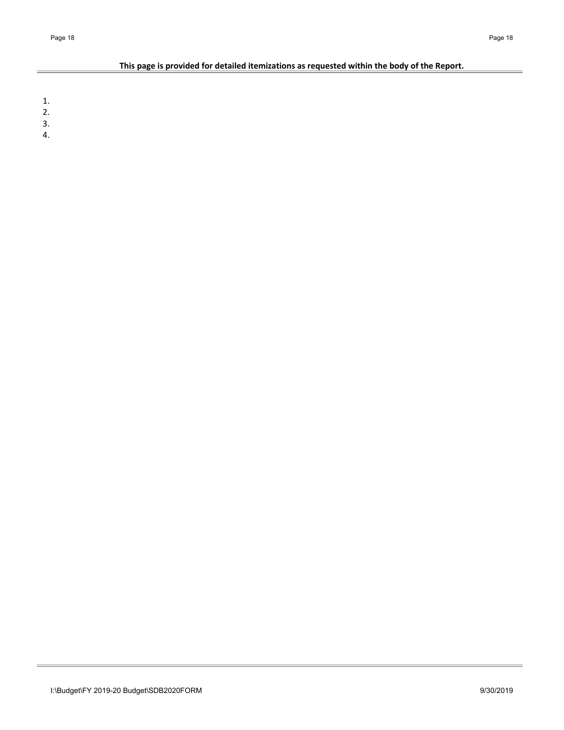# **This page is provided for detailed itemizations as requested within the body of the Report.**

1.

- 2.
- 3.
- 4.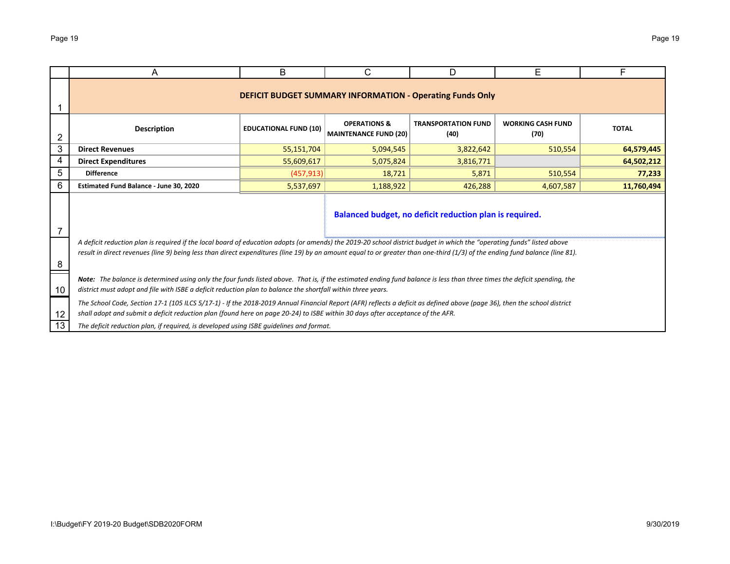|    | A                                                                                                                                                                                                                                                                                                                                                      | B                                                                                                                                                                                                                                                                                                          | C | D                                                       | Е | F |  |  |  |  |  |  |  |  |
|----|--------------------------------------------------------------------------------------------------------------------------------------------------------------------------------------------------------------------------------------------------------------------------------------------------------------------------------------------------------|------------------------------------------------------------------------------------------------------------------------------------------------------------------------------------------------------------------------------------------------------------------------------------------------------------|---|---------------------------------------------------------|---|---|--|--|--|--|--|--|--|--|
|    | <b>DEFICIT BUDGET SUMMARY INFORMATION - Operating Funds Only</b>                                                                                                                                                                                                                                                                                       |                                                                                                                                                                                                                                                                                                            |   |                                                         |   |   |  |  |  |  |  |  |  |  |
| 2  | <b>OPERATIONS &amp;</b><br><b>TRANSPORTATION FUND</b><br><b>WORKING CASH FUND</b><br><b>Description</b><br><b>TOTAL</b><br><b>EDUCATIONAL FUND (10)</b><br><b>MAINTENANCE FUND (20)</b><br>(40)<br>(70)                                                                                                                                                |                                                                                                                                                                                                                                                                                                            |   |                                                         |   |   |  |  |  |  |  |  |  |  |
| 3  | 510,554<br><b>Direct Revenues</b><br>55,151,704<br>5,094,545<br>3,822,642<br>64,579,445                                                                                                                                                                                                                                                                |                                                                                                                                                                                                                                                                                                            |   |                                                         |   |   |  |  |  |  |  |  |  |  |
| 4  | 55,609,617<br>64,502,212<br><b>Direct Expenditures</b><br>5,075,824<br>3,816,771                                                                                                                                                                                                                                                                       |                                                                                                                                                                                                                                                                                                            |   |                                                         |   |   |  |  |  |  |  |  |  |  |
| 5  | <b>Difference</b><br>(457, 913)<br>510,554<br>18,721<br>5,871<br>77,233                                                                                                                                                                                                                                                                                |                                                                                                                                                                                                                                                                                                            |   |                                                         |   |   |  |  |  |  |  |  |  |  |
| 6  | Estimated Fund Balance - June 30, 2020<br>5,537,697<br>426,288<br>11,760,494<br>1,188,922<br>4,607,587                                                                                                                                                                                                                                                 |                                                                                                                                                                                                                                                                                                            |   |                                                         |   |   |  |  |  |  |  |  |  |  |
| 7  |                                                                                                                                                                                                                                                                                                                                                        |                                                                                                                                                                                                                                                                                                            |   | Balanced budget, no deficit reduction plan is required. |   |   |  |  |  |  |  |  |  |  |
| 8  | A deficit reduction plan is required if the local board of education adopts (or amends) the 2019-20 school district budget in which the "operating funds" listed above<br>result in direct revenues (line 9) being less than direct expenditures (line 19) by an amount equal to or greater than one-third (1/3) of the ending fund balance (line 81). |                                                                                                                                                                                                                                                                                                            |   |                                                         |   |   |  |  |  |  |  |  |  |  |
| 10 | Note: The balance is determined using only the four funds listed above. That is, if the estimated ending fund balance is less than three times the deficit spending, the<br>district must adopt and file with ISBE a deficit reduction plan to balance the shortfall within three years.                                                               |                                                                                                                                                                                                                                                                                                            |   |                                                         |   |   |  |  |  |  |  |  |  |  |
| 12 |                                                                                                                                                                                                                                                                                                                                                        | The School Code, Section 17-1 (105 ILCS 5/17-1) - If the 2018-2019 Annual Financial Report (AFR) reflects a deficit as defined above (page 36), then the school district<br>shall adopt and submit a deficit reduction plan (found here on page 20-24) to ISBE within 30 days after acceptance of the AFR. |   |                                                         |   |   |  |  |  |  |  |  |  |  |
| 13 | The deficit reduction plan, if required, is developed using ISBE quidelines and format.                                                                                                                                                                                                                                                                |                                                                                                                                                                                                                                                                                                            |   |                                                         |   |   |  |  |  |  |  |  |  |  |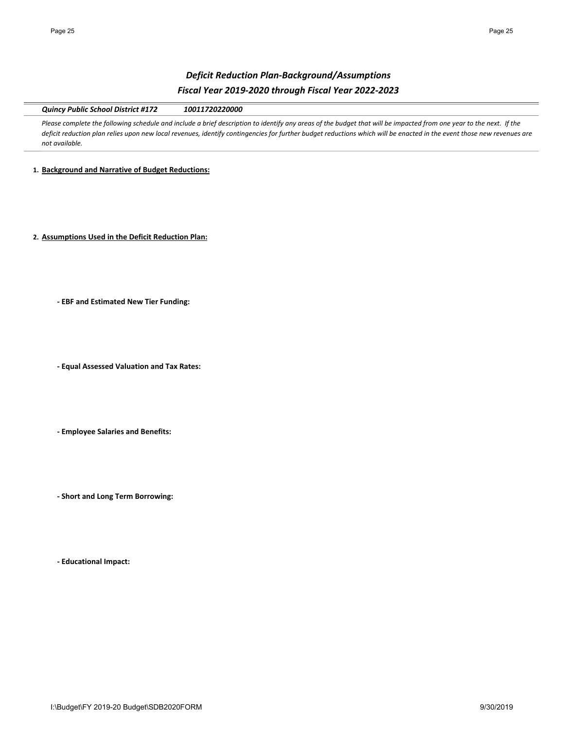# *Deficit Reduction Plan‐Background/Assumptions Fiscal Year 2019‐2020 through Fiscal Year 2022‐2023*

*Quincy Public School District #172 10011720220000*

Please complete the following schedule and include a brief description to identify any areas of the budget that will be impacted from one year to the next. If the *deficit reduction plan relies upon new local revenues, identify contingencies for further budget reductions which will be enacted in the event those new revenues are not available.* 

**1. Background and Narrative of Budget Reductions:**

**2. Assumptions Used in the Deficit Reduction Plan:**

**‐ EBF and Estimated New Tier Funding:**

**‐ Equal Assessed Valuation and Tax Rates:**

**‐ Employee Salaries and Benefits:**

**‐ Short and Long Term Borrowing:**

**‐ Educational Impact:**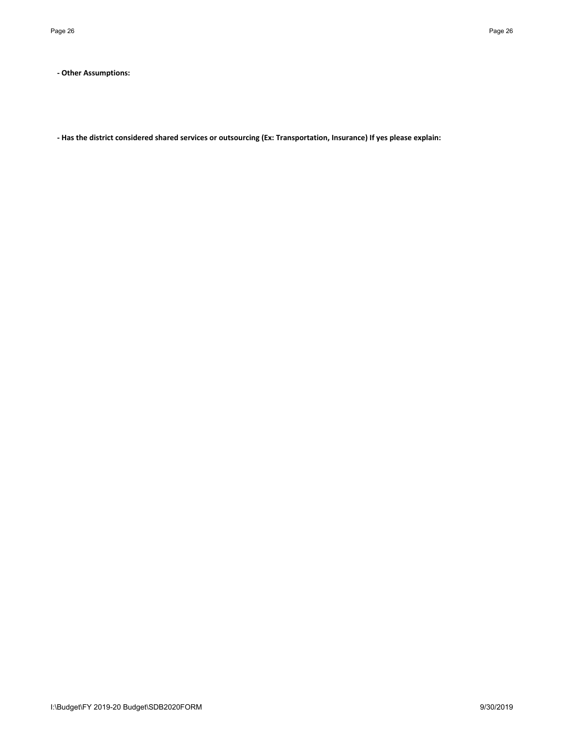**‐ Other Assumptions:**

**‐ Has the district considered shared services or outsourcing (Ex: Transportation, Insurance) If yes please explain:**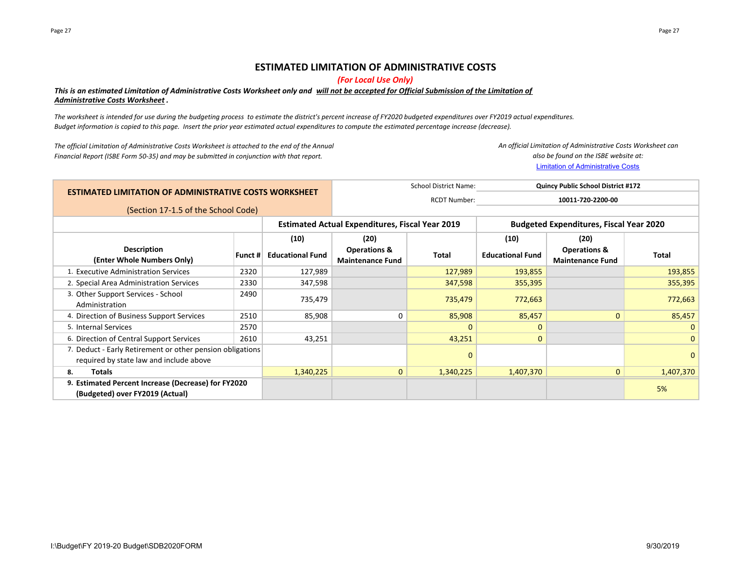# **ESTIMATED LIMITATION OF ADMINISTRATIVE COSTS**

*(For Local Use Only)*

# *This is an estimated Limitation of Administrative Costs Worksheet only and will not be accepted for Official Submission of the Limitation of Administrative Costs Worksheet .*

*The worksheet is intended for use during the budgeting process to estimate the district's percent increase of FY2020 budgeted expenditures over FY2019 actual expenditures. Budget information is copied to this page. Insert the prior year estimated actual expenditures to compute the estimated percentage increase (decrease).*

*The official Limitation of Administrative Costs Worksheet is attached to the end of the Annual Financial Report (ISBE Form 50‐35) and may be submitted in conjunction with that report.*

Limitation of Administrative Costs *An official Limitation of Administrative Costs Worksheet can also be found on the ISBE website at:*

| <b>ESTIMATED LIMITATION OF ADMINISTRATIVE COSTS WORKSHEET</b>                                        |         |                                                        |                                                    | <b>School District Name:</b> | <b>Quincy Public School District #172</b><br>10011-720-2200-00 |                                                    |              |
|------------------------------------------------------------------------------------------------------|---------|--------------------------------------------------------|----------------------------------------------------|------------------------------|----------------------------------------------------------------|----------------------------------------------------|--------------|
|                                                                                                      |         |                                                        |                                                    | <b>RCDT Number:</b>          |                                                                |                                                    |              |
| (Section 17-1.5 of the School Code)                                                                  |         |                                                        |                                                    |                              |                                                                |                                                    |              |
|                                                                                                      |         | <b>Estimated Actual Expenditures, Fiscal Year 2019</b> |                                                    |                              | <b>Budgeted Expenditures, Fiscal Year 2020</b>                 |                                                    |              |
|                                                                                                      |         | (10)                                                   | (20)                                               |                              | (10)                                                           | (20)                                               |              |
| <b>Description</b><br>(Enter Whole Numbers Only)                                                     | Funct # | <b>Educational Fund</b>                                | <b>Operations &amp;</b><br><b>Maintenance Fund</b> | Total                        | <b>Educational Fund</b>                                        | <b>Operations &amp;</b><br><b>Maintenance Fund</b> | Total        |
| 1. Executive Administration Services                                                                 | 2320    | 127,989                                                |                                                    | 127,989                      | 193,855                                                        |                                                    | 193,855      |
| 2. Special Area Administration Services                                                              | 2330    | 347,598                                                |                                                    | 347,598                      | 355,395                                                        |                                                    | 355,395      |
| 3. Other Support Services - School<br>Administration                                                 | 2490    | 735,479                                                |                                                    | 735,479                      | 772,663                                                        |                                                    | 772,663      |
| 4. Direction of Business Support Services                                                            | 2510    | 85,908                                                 | $\mathbf 0$                                        | 85,908                       | 85,457                                                         | $\mathbf{0}$                                       | 85,457       |
| 5. Internal Services                                                                                 | 2570    |                                                        |                                                    | $\Omega$                     | 0                                                              |                                                    | $\mathbf{0}$ |
| 6. Direction of Central Support Services                                                             | 2610    | 43,251                                                 |                                                    | 43,251                       | $\mathbf{0}$                                                   |                                                    | $\mathbf{0}$ |
| 7. Deduct - Early Retirement or other pension obligations<br>required by state law and include above |         |                                                        |                                                    | $\mathbf 0$                  |                                                                |                                                    | $\mathbf 0$  |
| <b>Totals</b><br>8.                                                                                  |         | 1,340,225                                              | $\mathbf{0}$                                       | 1,340,225                    | 1,407,370                                                      | $\mathbf{0}$                                       | 1,407,370    |
| 9. Estimated Percent Increase (Decrease) for FY2020<br>(Budgeted) over FY2019 (Actual)               |         |                                                        |                                                    |                              |                                                                |                                                    | 5%           |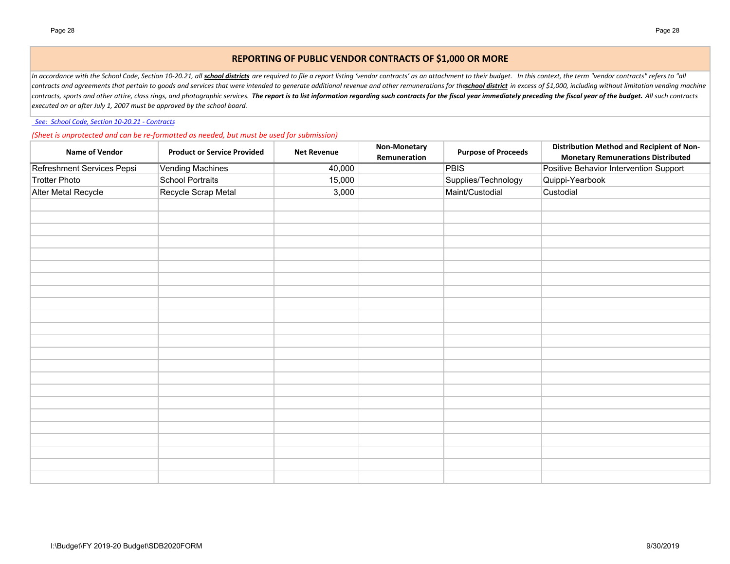# **REPORTING OF PUBLIC VENDOR CONTRACTS OF \$1,000 OR MORE**

In accordance with the School Code, Section 10-20.21, all *school districts* are required to file a report listing 'vendor contracts' as an attachment to their budget. In this context, the term "vendor contracts" refers to contracts and agreements that pertain to goods and services that were intended to generate additional revenue and other remunerations for theschool district in excess of \$1,000, including without limitation vending machine contracts, sports and other attire, class rings, and photographic services. The report is to list information regarding such contracts for the fiscal year immediately preceding the fiscal year of the budget. All such contr *executed on or after July 1, 2007 must be approved by the school board.*

 *See: School Code, Section 10‐20.21 ‐ Contracts*

*(Sheet is unprotected and can be re‐formatted as needed, but must be used for submission)*

| Name of Vendor             | <b>Product or Service Provided</b> | <b>Net Revenue</b> | Non-Monetary<br>Remuneration | <b>Purpose of Proceeds</b> | Distribution Method and Recipient of Non-<br><b>Monetary Remunerations Distributed</b> |
|----------------------------|------------------------------------|--------------------|------------------------------|----------------------------|----------------------------------------------------------------------------------------|
| Refreshment Services Pepsi | <b>Vending Machines</b>            | 40,000             |                              | <b>PBIS</b>                | Positive Behavior Intervention Support                                                 |
| <b>Trotter Photo</b>       | <b>School Portraits</b>            | 15,000             |                              | Supplies/Technology        | Quippi-Yearbook                                                                        |
| Alter Metal Recycle        | Recycle Scrap Metal                | 3,000              |                              | Maint/Custodial            | Custodial                                                                              |
|                            |                                    |                    |                              |                            |                                                                                        |
|                            |                                    |                    |                              |                            |                                                                                        |
|                            |                                    |                    |                              |                            |                                                                                        |
|                            |                                    |                    |                              |                            |                                                                                        |
|                            |                                    |                    |                              |                            |                                                                                        |
|                            |                                    |                    |                              |                            |                                                                                        |
|                            |                                    |                    |                              |                            |                                                                                        |
|                            |                                    |                    |                              |                            |                                                                                        |
|                            |                                    |                    |                              |                            |                                                                                        |
|                            |                                    |                    |                              |                            |                                                                                        |
|                            |                                    |                    |                              |                            |                                                                                        |
|                            |                                    |                    |                              |                            |                                                                                        |
|                            |                                    |                    |                              |                            |                                                                                        |
|                            |                                    |                    |                              |                            |                                                                                        |
|                            |                                    |                    |                              |                            |                                                                                        |
|                            |                                    |                    |                              |                            |                                                                                        |
|                            |                                    |                    |                              |                            |                                                                                        |
|                            |                                    |                    |                              |                            |                                                                                        |
|                            |                                    |                    |                              |                            |                                                                                        |
|                            |                                    |                    |                              |                            |                                                                                        |
|                            |                                    |                    |                              |                            |                                                                                        |
|                            |                                    |                    |                              |                            |                                                                                        |
|                            |                                    |                    |                              |                            |                                                                                        |